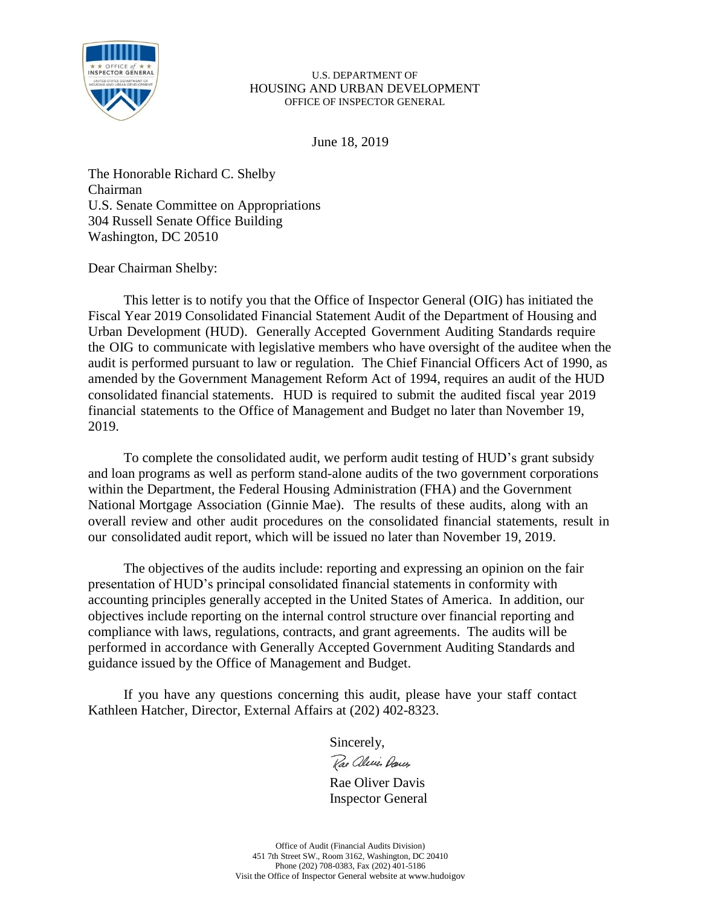

June 18, 2019

The Honorable Richard C. Shelby Chairman U.S. Senate Committee on Appropriations 304 Russell Senate Office Building Washington, DC 20510

Dear Chairman Shelby:

This letter is to notify you that the Office of Inspector General (OIG) has initiated the Fiscal Year 2019 Consolidated Financial Statement Audit of the Department of Housing and Urban Development (HUD). Generally Accepted Government Auditing Standards require the OIG to communicate with legislative members who have oversight of the auditee when the audit is performed pursuant to law or regulation. The Chief Financial Officers Act of 1990, as amended by the Government Management Reform Act of 1994, requires an audit of the HUD consolidated financial statements. HUD is required to submit the audited fiscal year 2019 financial statements to the Office of Management and Budget no later than November 19, 2019.

To complete the consolidated audit, we perform audit testing of HUD's grant subsidy and loan programs as well as perform stand-alone audits of the two government corporations within the Department, the Federal Housing Administration (FHA) and the Government National Mortgage Association (Ginnie Mae). The results of these audits, along with an overall review and other audit procedures on the consolidated financial statements, result in our consolidated audit report, which will be issued no later than November 19, 2019.

The objectives of the audits include: reporting and expressing an opinion on the fair presentation of HUD's principal consolidated financial statements in conformity with accounting principles generally accepted in the United States of America. In addition, our objectives include reporting on the internal control structure over financial reporting and compliance with laws, regulations, contracts, and grant agreements. The audits will be performed in accordance with Generally Accepted Government Auditing Standards and guidance issued by the Office of Management and Budget.

If you have any questions concerning this audit, please have your staff contact Kathleen Hatcher, Director, External Affairs at (202) 402-8323.

Sincerely,

Rae alice Darces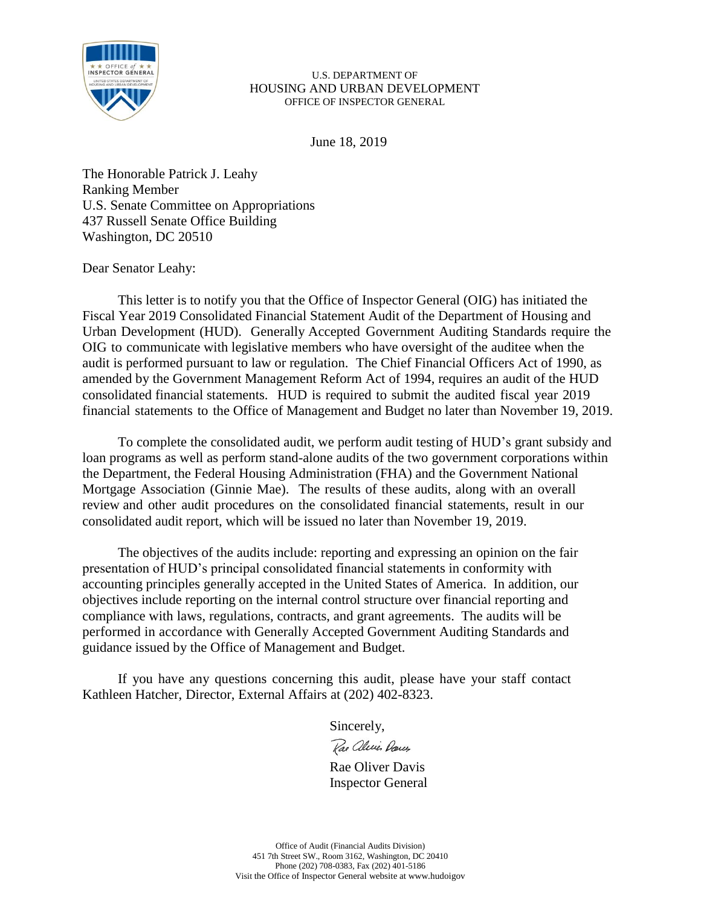

June 18, 2019

The Honorable Patrick J. Leahy Ranking Member U.S. Senate Committee on Appropriations 437 Russell Senate Office Building Washington, DC 20510

Dear Senator Leahy:

This letter is to notify you that the Office of Inspector General (OIG) has initiated the Fiscal Year 2019 Consolidated Financial Statement Audit of the Department of Housing and Urban Development (HUD). Generally Accepted Government Auditing Standards require the OIG to communicate with legislative members who have oversight of the auditee when the audit is performed pursuant to law or regulation. The Chief Financial Officers Act of 1990, as amended by the Government Management Reform Act of 1994, requires an audit of the HUD consolidated financial statements. HUD is required to submit the audited fiscal year 2019 financial statements to the Office of Management and Budget no later than November 19, 2019.

To complete the consolidated audit, we perform audit testing of HUD's grant subsidy and loan programs as well as perform stand-alone audits of the two government corporations within the Department, the Federal Housing Administration (FHA) and the Government National Mortgage Association (Ginnie Mae). The results of these audits, along with an overall review and other audit procedures on the consolidated financial statements, result in our consolidated audit report, which will be issued no later than November 19, 2019.

The objectives of the audits include: reporting and expressing an opinion on the fair presentation of HUD's principal consolidated financial statements in conformity with accounting principles generally accepted in the United States of America. In addition, our objectives include reporting on the internal control structure over financial reporting and compliance with laws, regulations, contracts, and grant agreements. The audits will be performed in accordance with Generally Accepted Government Auditing Standards and guidance issued by the Office of Management and Budget.

If you have any questions concerning this audit, please have your staff contact Kathleen Hatcher, Director, External Affairs at (202) 402-8323.

Sincerely,

Rae aleries Darcy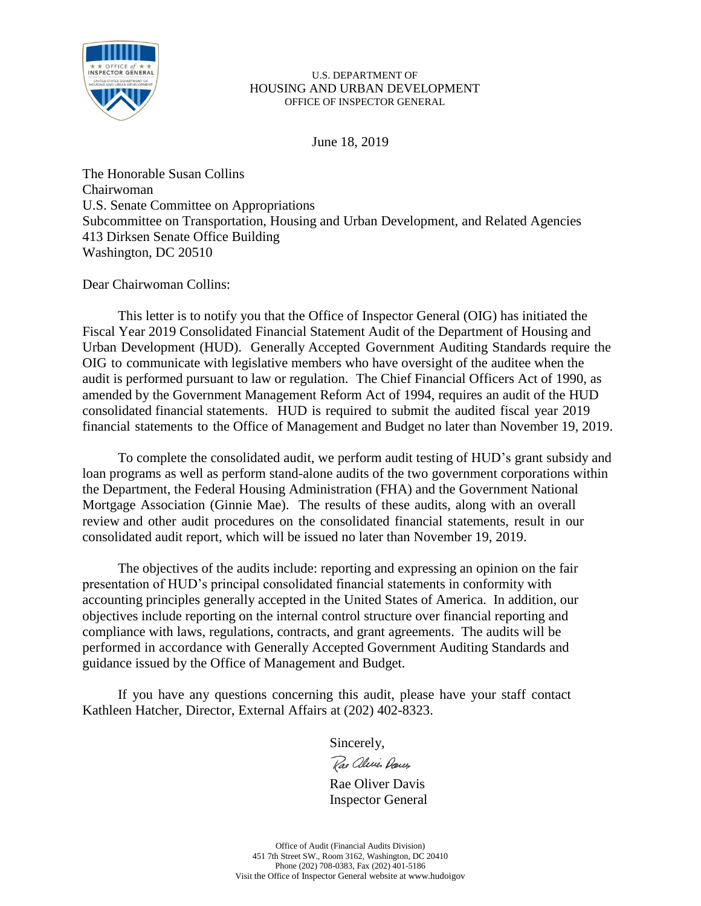

June 18, 2019

The Honorable Susan Collins Chairwoman U.S. Senate Committee on Appropriations Subcommittee on Transportation, Housing and Urban Development, and Related Agencies 413 Dirksen Senate Office Building Washington, DC 20510

Dear Chairwoman Collins:

This letter is to notify you that the Office of Inspector General (OIG) has initiated the Fiscal Year 2019 Consolidated Financial Statement Audit of the Department of Housing and Urban Development (HUD). Generally Accepted Government Auditing Standards require the OIG to communicate with legislative members who have oversight of the auditee when the audit is performed pursuant to law or regulation. The Chief Financial Officers Act of 1990, as amended by the Government Management Reform Act of 1994, requires an audit of the HUD consolidated financial statements. HUD is required to submit the audited fiscal year 2019 financial statements to the Office of Management and Budget no later than November 19, 2019.

To complete the consolidated audit, we perform audit testing of HUD's grant subsidy and loan programs as well as perform stand-alone audits of the two government corporations within the Department, the Federal Housing Administration (FHA) and the Government National Mortgage Association (Ginnie Mae). The results of these audits, along with an overall review and other audit procedures on the consolidated financial statements, result in our consolidated audit report, which will be issued no later than November 19, 2019.

The objectives of the audits include: reporting and expressing an opinion on the fair presentation of HUD's principal consolidated financial statements in conformity with accounting principles generally accepted in the United States of America. In addition, our objectives include reporting on the internal control structure over financial reporting and compliance with laws, regulations, contracts, and grant agreements. The audits will be performed in accordance with Generally Accepted Government Auditing Standards and guidance issued by the Office of Management and Budget.

If you have any questions concerning this audit, please have your staff contact Kathleen Hatcher, Director, External Affairs at (202) 402-8323.

Sincerely,

Rae alecie Dans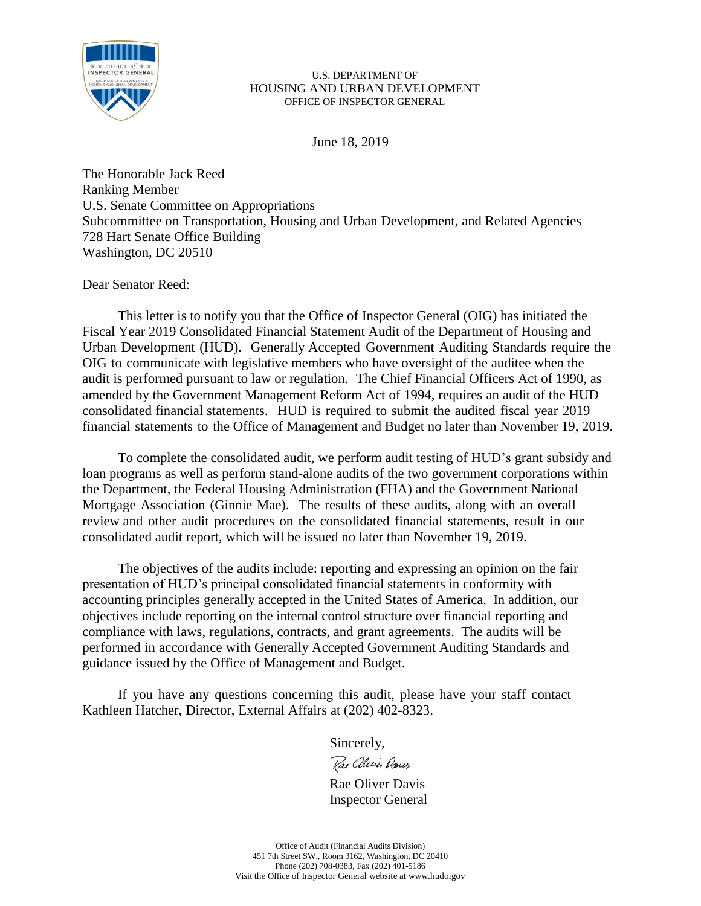

June 18, 2019

The Honorable Jack Reed Ranking Member U.S. Senate Committee on Appropriations Subcommittee on Transportation, Housing and Urban Development, and Related Agencies 728 Hart Senate Office Building Washington, DC 20510

Dear Senator Reed:

This letter is to notify you that the Office of Inspector General (OIG) has initiated the Fiscal Year 2019 Consolidated Financial Statement Audit of the Department of Housing and Urban Development (HUD). Generally Accepted Government Auditing Standards require the OIG to communicate with legislative members who have oversight of the auditee when the audit is performed pursuant to law or regulation. The Chief Financial Officers Act of 1990, as amended by the Government Management Reform Act of 1994, requires an audit of the HUD consolidated financial statements. HUD is required to submit the audited fiscal year 2019 financial statements to the Office of Management and Budget no later than November 19, 2019.

To complete the consolidated audit, we perform audit testing of HUD's grant subsidy and loan programs as well as perform stand-alone audits of the two government corporations within the Department, the Federal Housing Administration (FHA) and the Government National Mortgage Association (Ginnie Mae). The results of these audits, along with an overall review and other audit procedures on the consolidated financial statements, result in our consolidated audit report, which will be issued no later than November 19, 2019.

The objectives of the audits include: reporting and expressing an opinion on the fair presentation of HUD's principal consolidated financial statements in conformity with accounting principles generally accepted in the United States of America. In addition, our objectives include reporting on the internal control structure over financial reporting and compliance with laws, regulations, contracts, and grant agreements. The audits will be performed in accordance with Generally Accepted Government Auditing Standards and guidance issued by the Office of Management and Budget.

If you have any questions concerning this audit, please have your staff contact Kathleen Hatcher, Director, External Affairs at (202) 402-8323.

Sincerely,

Rae aleries Dances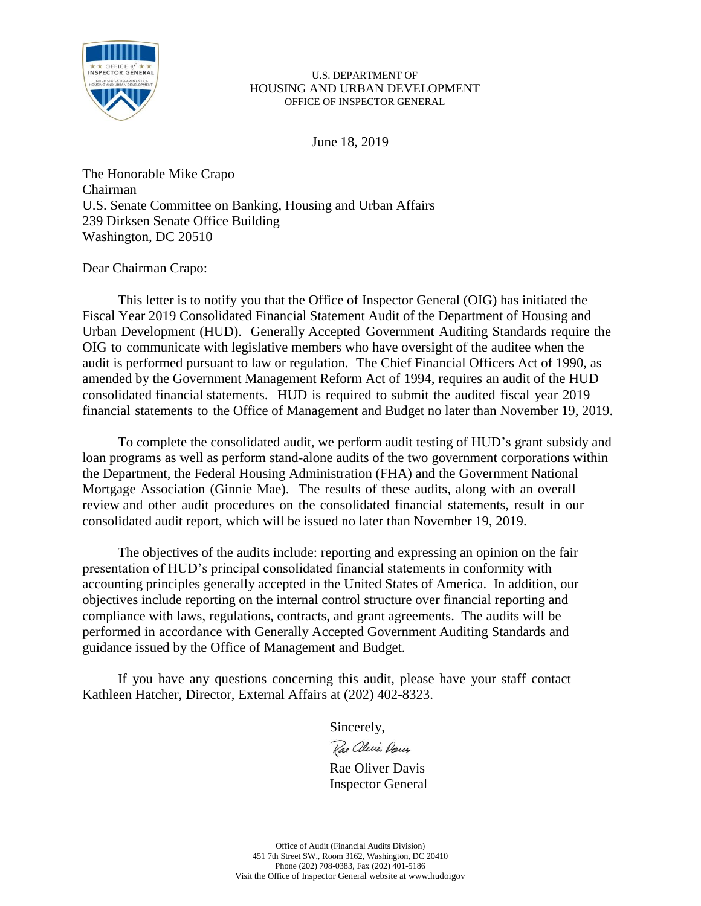

June 18, 2019

The Honorable Mike Crapo Chairman U.S. Senate Committee on Banking, Housing and Urban Affairs 239 Dirksen Senate Office Building Washington, DC 20510

Dear Chairman Crapo:

This letter is to notify you that the Office of Inspector General (OIG) has initiated the Fiscal Year 2019 Consolidated Financial Statement Audit of the Department of Housing and Urban Development (HUD). Generally Accepted Government Auditing Standards require the OIG to communicate with legislative members who have oversight of the auditee when the audit is performed pursuant to law or regulation. The Chief Financial Officers Act of 1990, as amended by the Government Management Reform Act of 1994, requires an audit of the HUD consolidated financial statements. HUD is required to submit the audited fiscal year 2019 financial statements to the Office of Management and Budget no later than November 19, 2019.

To complete the consolidated audit, we perform audit testing of HUD's grant subsidy and loan programs as well as perform stand-alone audits of the two government corporations within the Department, the Federal Housing Administration (FHA) and the Government National Mortgage Association (Ginnie Mae). The results of these audits, along with an overall review and other audit procedures on the consolidated financial statements, result in our consolidated audit report, which will be issued no later than November 19, 2019.

The objectives of the audits include: reporting and expressing an opinion on the fair presentation of HUD's principal consolidated financial statements in conformity with accounting principles generally accepted in the United States of America. In addition, our objectives include reporting on the internal control structure over financial reporting and compliance with laws, regulations, contracts, and grant agreements. The audits will be performed in accordance with Generally Accepted Government Auditing Standards and guidance issued by the Office of Management and Budget.

If you have any questions concerning this audit, please have your staff contact Kathleen Hatcher, Director, External Affairs at (202) 402-8323.

Sincerely,

Rae aleries Darcy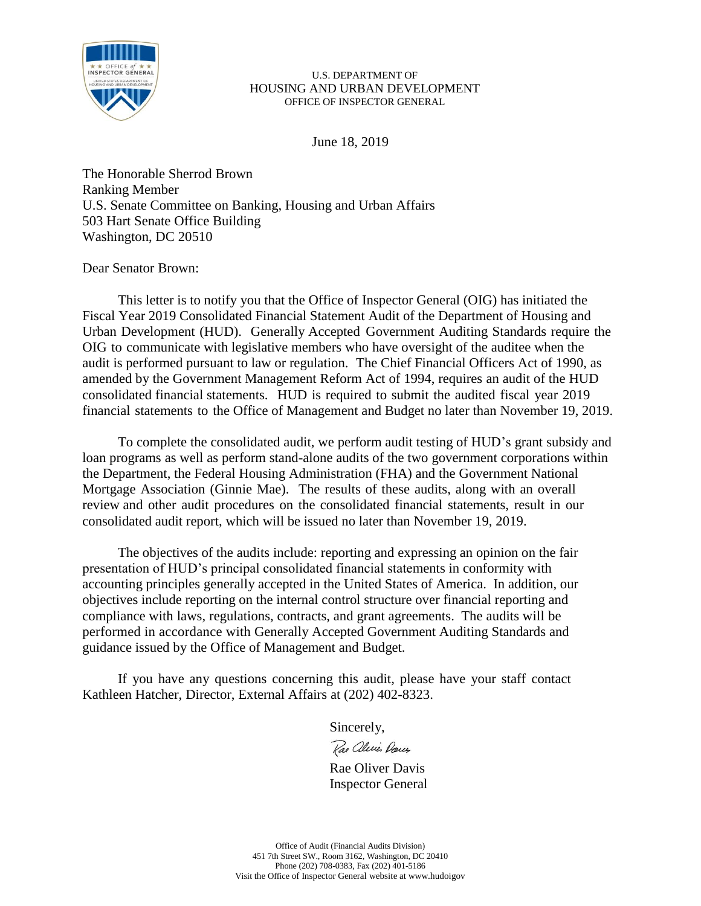

June 18, 2019

The Honorable Sherrod Brown Ranking Member U.S. Senate Committee on Banking, Housing and Urban Affairs 503 Hart Senate Office Building Washington, DC 20510

Dear Senator Brown:

This letter is to notify you that the Office of Inspector General (OIG) has initiated the Fiscal Year 2019 Consolidated Financial Statement Audit of the Department of Housing and Urban Development (HUD). Generally Accepted Government Auditing Standards require the OIG to communicate with legislative members who have oversight of the auditee when the audit is performed pursuant to law or regulation. The Chief Financial Officers Act of 1990, as amended by the Government Management Reform Act of 1994, requires an audit of the HUD consolidated financial statements. HUD is required to submit the audited fiscal year 2019 financial statements to the Office of Management and Budget no later than November 19, 2019.

To complete the consolidated audit, we perform audit testing of HUD's grant subsidy and loan programs as well as perform stand-alone audits of the two government corporations within the Department, the Federal Housing Administration (FHA) and the Government National Mortgage Association (Ginnie Mae). The results of these audits, along with an overall review and other audit procedures on the consolidated financial statements, result in our consolidated audit report, which will be issued no later than November 19, 2019.

The objectives of the audits include: reporting and expressing an opinion on the fair presentation of HUD's principal consolidated financial statements in conformity with accounting principles generally accepted in the United States of America. In addition, our objectives include reporting on the internal control structure over financial reporting and compliance with laws, regulations, contracts, and grant agreements. The audits will be performed in accordance with Generally Accepted Government Auditing Standards and guidance issued by the Office of Management and Budget.

If you have any questions concerning this audit, please have your staff contact Kathleen Hatcher, Director, External Affairs at (202) 402-8323.

Sincerely,

Rae aleries Darcy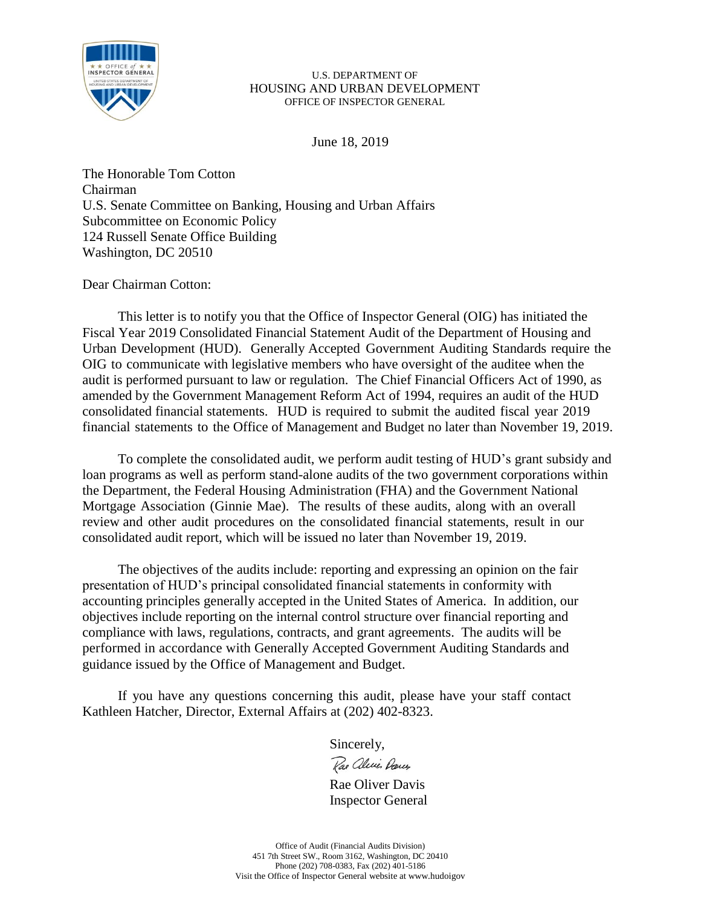

June 18, 2019

The Honorable Tom Cotton Chairman U.S. Senate Committee on Banking, Housing and Urban Affairs Subcommittee on Economic Policy 124 Russell Senate Office Building Washington, DC 20510

Dear Chairman Cotton:

This letter is to notify you that the Office of Inspector General (OIG) has initiated the Fiscal Year 2019 Consolidated Financial Statement Audit of the Department of Housing and Urban Development (HUD). Generally Accepted Government Auditing Standards require the OIG to communicate with legislative members who have oversight of the auditee when the audit is performed pursuant to law or regulation. The Chief Financial Officers Act of 1990, as amended by the Government Management Reform Act of 1994, requires an audit of the HUD consolidated financial statements. HUD is required to submit the audited fiscal year 2019 financial statements to the Office of Management and Budget no later than November 19, 2019.

To complete the consolidated audit, we perform audit testing of HUD's grant subsidy and loan programs as well as perform stand-alone audits of the two government corporations within the Department, the Federal Housing Administration (FHA) and the Government National Mortgage Association (Ginnie Mae). The results of these audits, along with an overall review and other audit procedures on the consolidated financial statements, result in our consolidated audit report, which will be issued no later than November 19, 2019.

The objectives of the audits include: reporting and expressing an opinion on the fair presentation of HUD's principal consolidated financial statements in conformity with accounting principles generally accepted in the United States of America. In addition, our objectives include reporting on the internal control structure over financial reporting and compliance with laws, regulations, contracts, and grant agreements. The audits will be performed in accordance with Generally Accepted Government Auditing Standards and guidance issued by the Office of Management and Budget.

If you have any questions concerning this audit, please have your staff contact Kathleen Hatcher, Director, External Affairs at (202) 402-8323.

Sincerely,

Rae alecie Dances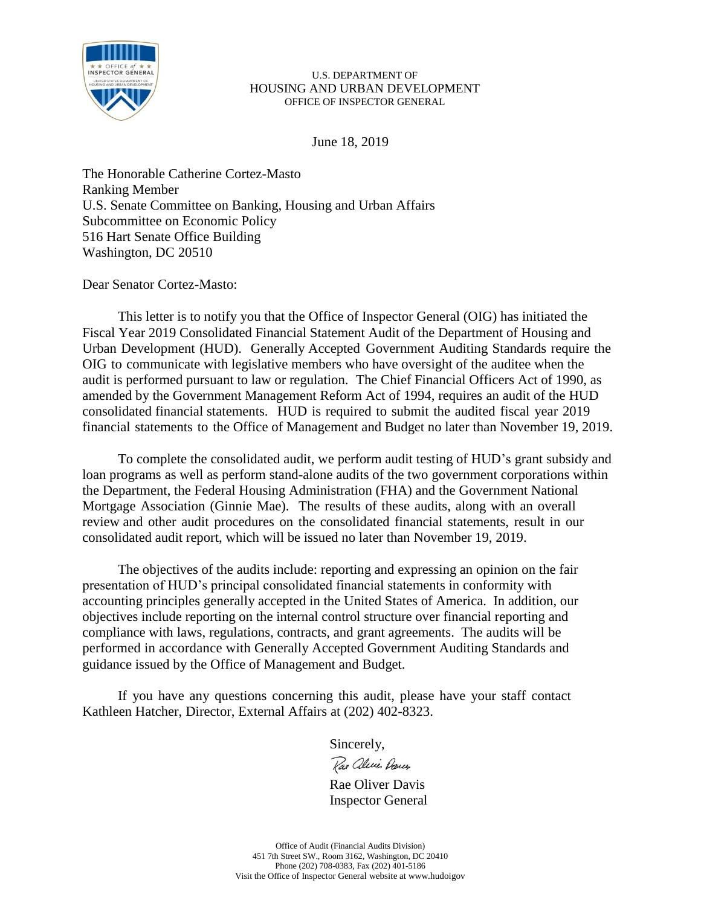

June 18, 2019

The Honorable Catherine Cortez-Masto Ranking Member U.S. Senate Committee on Banking, Housing and Urban Affairs Subcommittee on Economic Policy 516 Hart Senate Office Building Washington, DC 20510

Dear Senator Cortez-Masto:

This letter is to notify you that the Office of Inspector General (OIG) has initiated the Fiscal Year 2019 Consolidated Financial Statement Audit of the Department of Housing and Urban Development (HUD). Generally Accepted Government Auditing Standards require the OIG to communicate with legislative members who have oversight of the auditee when the audit is performed pursuant to law or regulation. The Chief Financial Officers Act of 1990, as amended by the Government Management Reform Act of 1994, requires an audit of the HUD consolidated financial statements. HUD is required to submit the audited fiscal year 2019 financial statements to the Office of Management and Budget no later than November 19, 2019.

To complete the consolidated audit, we perform audit testing of HUD's grant subsidy and loan programs as well as perform stand-alone audits of the two government corporations within the Department, the Federal Housing Administration (FHA) and the Government National Mortgage Association (Ginnie Mae). The results of these audits, along with an overall review and other audit procedures on the consolidated financial statements, result in our consolidated audit report, which will be issued no later than November 19, 2019.

The objectives of the audits include: reporting and expressing an opinion on the fair presentation of HUD's principal consolidated financial statements in conformity with accounting principles generally accepted in the United States of America. In addition, our objectives include reporting on the internal control structure over financial reporting and compliance with laws, regulations, contracts, and grant agreements. The audits will be performed in accordance with Generally Accepted Government Auditing Standards and guidance issued by the Office of Management and Budget.

If you have any questions concerning this audit, please have your staff contact Kathleen Hatcher, Director, External Affairs at (202) 402-8323.

Sincerely,

Rae alecie Dances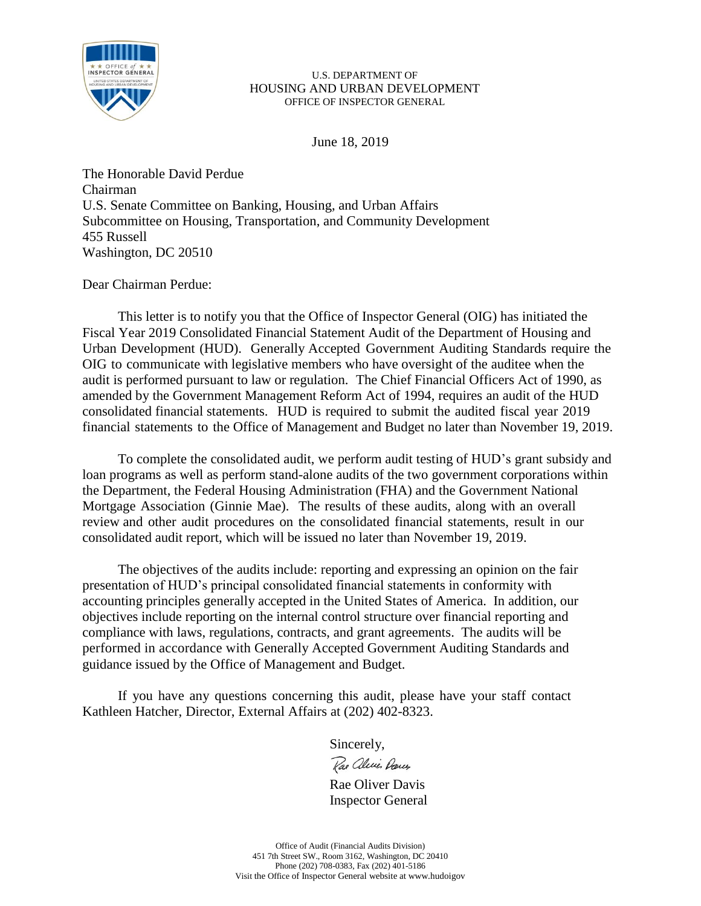

June 18, 2019

The Honorable David Perdue Chairman U.S. Senate Committee on Banking, Housing, and Urban Affairs Subcommittee on Housing, Transportation, and Community Development 455 Russell Washington, DC 20510

Dear Chairman Perdue:

This letter is to notify you that the Office of Inspector General (OIG) has initiated the Fiscal Year 2019 Consolidated Financial Statement Audit of the Department of Housing and Urban Development (HUD). Generally Accepted Government Auditing Standards require the OIG to communicate with legislative members who have oversight of the auditee when the audit is performed pursuant to law or regulation. The Chief Financial Officers Act of 1990, as amended by the Government Management Reform Act of 1994, requires an audit of the HUD consolidated financial statements. HUD is required to submit the audited fiscal year 2019 financial statements to the Office of Management and Budget no later than November 19, 2019.

To complete the consolidated audit, we perform audit testing of HUD's grant subsidy and loan programs as well as perform stand-alone audits of the two government corporations within the Department, the Federal Housing Administration (FHA) and the Government National Mortgage Association (Ginnie Mae). The results of these audits, along with an overall review and other audit procedures on the consolidated financial statements, result in our consolidated audit report, which will be issued no later than November 19, 2019.

The objectives of the audits include: reporting and expressing an opinion on the fair presentation of HUD's principal consolidated financial statements in conformity with accounting principles generally accepted in the United States of America. In addition, our objectives include reporting on the internal control structure over financial reporting and compliance with laws, regulations, contracts, and grant agreements. The audits will be performed in accordance with Generally Accepted Government Auditing Standards and guidance issued by the Office of Management and Budget.

If you have any questions concerning this audit, please have your staff contact Kathleen Hatcher, Director, External Affairs at (202) 402-8323.

Sincerely,

Rae alice Darces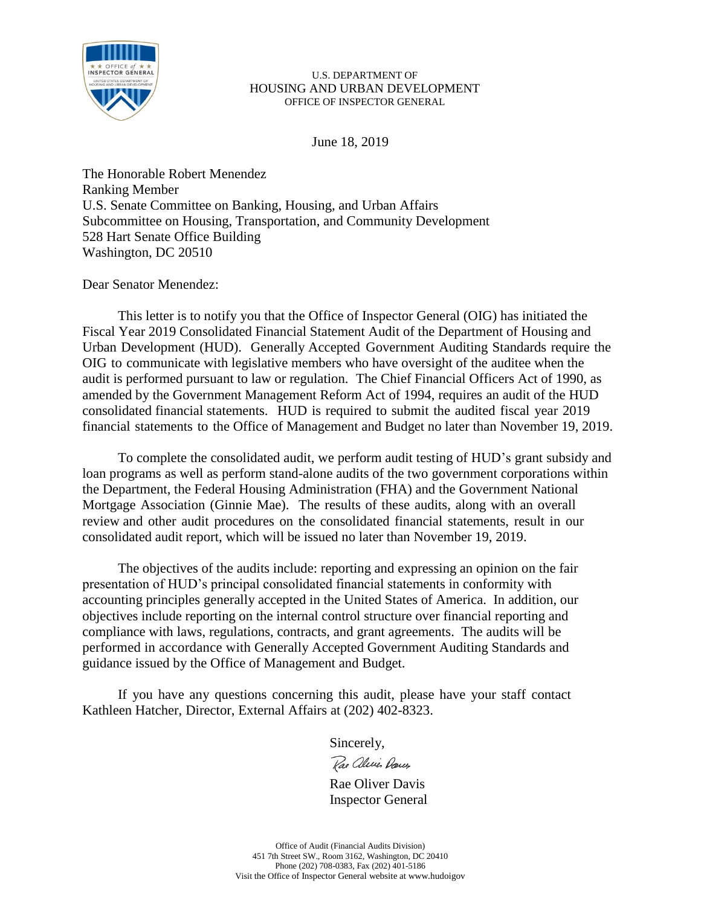

June 18, 2019

The Honorable Robert Menendez Ranking Member U.S. Senate Committee on Banking, Housing, and Urban Affairs Subcommittee on Housing, Transportation, and Community Development 528 Hart Senate Office Building Washington, DC 20510

Dear Senator Menendez:

This letter is to notify you that the Office of Inspector General (OIG) has initiated the Fiscal Year 2019 Consolidated Financial Statement Audit of the Department of Housing and Urban Development (HUD). Generally Accepted Government Auditing Standards require the OIG to communicate with legislative members who have oversight of the auditee when the audit is performed pursuant to law or regulation. The Chief Financial Officers Act of 1990, as amended by the Government Management Reform Act of 1994, requires an audit of the HUD consolidated financial statements. HUD is required to submit the audited fiscal year 2019 financial statements to the Office of Management and Budget no later than November 19, 2019.

To complete the consolidated audit, we perform audit testing of HUD's grant subsidy and loan programs as well as perform stand-alone audits of the two government corporations within the Department, the Federal Housing Administration (FHA) and the Government National Mortgage Association (Ginnie Mae). The results of these audits, along with an overall review and other audit procedures on the consolidated financial statements, result in our consolidated audit report, which will be issued no later than November 19, 2019.

The objectives of the audits include: reporting and expressing an opinion on the fair presentation of HUD's principal consolidated financial statements in conformity with accounting principles generally accepted in the United States of America. In addition, our objectives include reporting on the internal control structure over financial reporting and compliance with laws, regulations, contracts, and grant agreements. The audits will be performed in accordance with Generally Accepted Government Auditing Standards and guidance issued by the Office of Management and Budget.

If you have any questions concerning this audit, please have your staff contact Kathleen Hatcher, Director, External Affairs at (202) 402-8323.

Sincerely,

Rae alecie Dans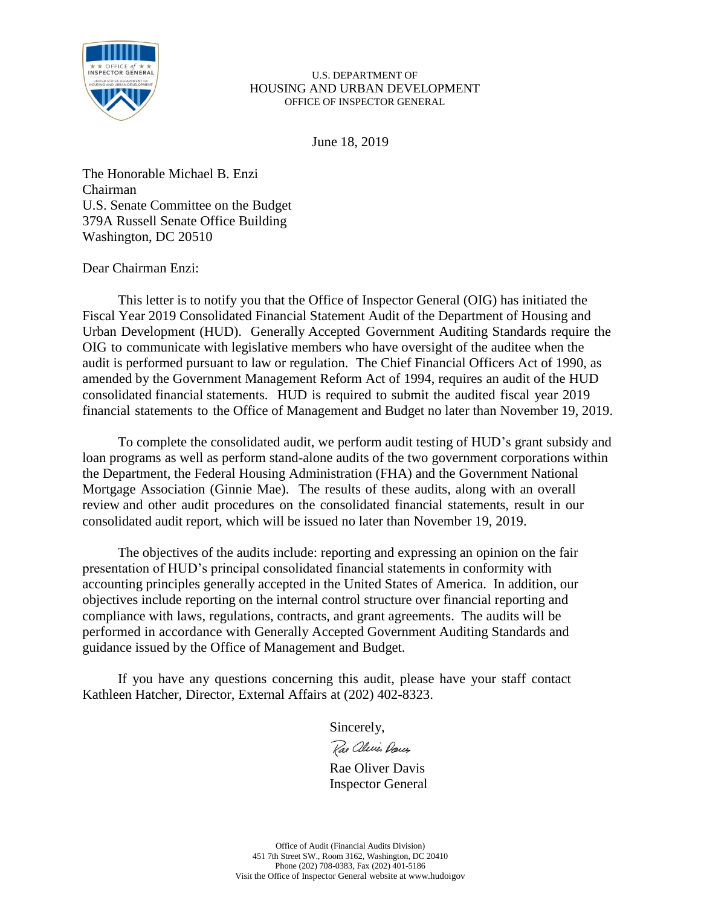

June 18, 2019

The Honorable Michael B. Enzi Chairman U.S. Senate Committee on the Budget 379A Russell Senate Office Building Washington, DC 20510

# Dear Chairman Enzi:

This letter is to notify you that the Office of Inspector General (OIG) has initiated the Fiscal Year 2019 Consolidated Financial Statement Audit of the Department of Housing and Urban Development (HUD). Generally Accepted Government Auditing Standards require the OIG to communicate with legislative members who have oversight of the auditee when the audit is performed pursuant to law or regulation. The Chief Financial Officers Act of 1990, as amended by the Government Management Reform Act of 1994, requires an audit of the HUD consolidated financial statements. HUD is required to submit the audited fiscal year 2019 financial statements to the Office of Management and Budget no later than November 19, 2019.

To complete the consolidated audit, we perform audit testing of HUD's grant subsidy and loan programs as well as perform stand-alone audits of the two government corporations within the Department, the Federal Housing Administration (FHA) and the Government National Mortgage Association (Ginnie Mae). The results of these audits, along with an overall review and other audit procedures on the consolidated financial statements, result in our consolidated audit report, which will be issued no later than November 19, 2019.

The objectives of the audits include: reporting and expressing an opinion on the fair presentation of HUD's principal consolidated financial statements in conformity with accounting principles generally accepted in the United States of America. In addition, our objectives include reporting on the internal control structure over financial reporting and compliance with laws, regulations, contracts, and grant agreements. The audits will be performed in accordance with Generally Accepted Government Auditing Standards and guidance issued by the Office of Management and Budget.

If you have any questions concerning this audit, please have your staff contact Kathleen Hatcher, Director, External Affairs at (202) 402-8323.

Sincerely,

Rae aleries Darcy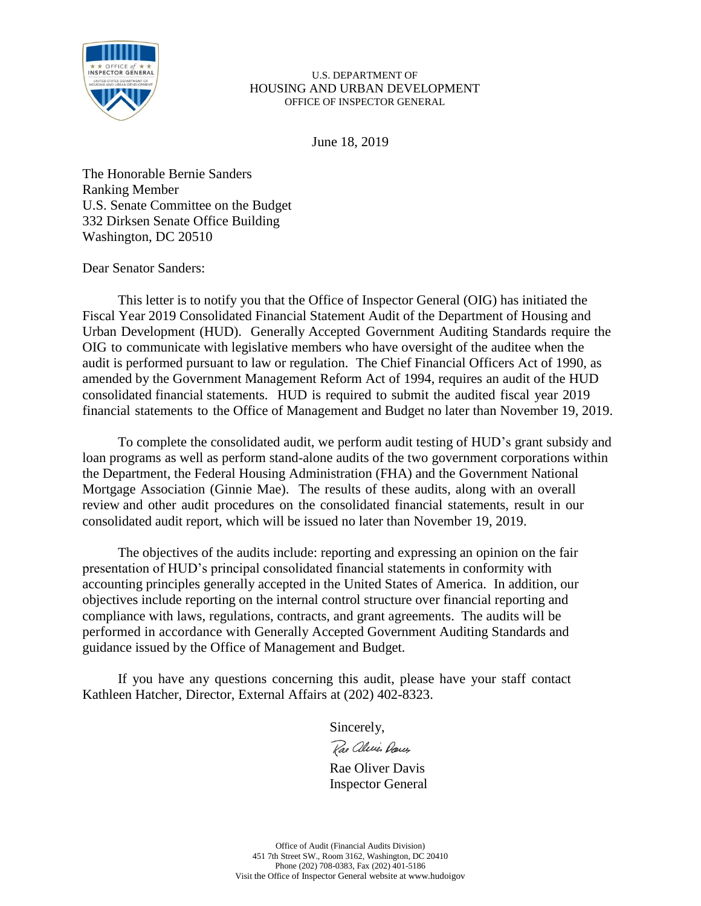

June 18, 2019

The Honorable Bernie Sanders Ranking Member U.S. Senate Committee on the Budget 332 Dirksen Senate Office Building Washington, DC 20510

Dear Senator Sanders:

This letter is to notify you that the Office of Inspector General (OIG) has initiated the Fiscal Year 2019 Consolidated Financial Statement Audit of the Department of Housing and Urban Development (HUD). Generally Accepted Government Auditing Standards require the OIG to communicate with legislative members who have oversight of the auditee when the audit is performed pursuant to law or regulation. The Chief Financial Officers Act of 1990, as amended by the Government Management Reform Act of 1994, requires an audit of the HUD consolidated financial statements. HUD is required to submit the audited fiscal year 2019 financial statements to the Office of Management and Budget no later than November 19, 2019.

To complete the consolidated audit, we perform audit testing of HUD's grant subsidy and loan programs as well as perform stand-alone audits of the two government corporations within the Department, the Federal Housing Administration (FHA) and the Government National Mortgage Association (Ginnie Mae). The results of these audits, along with an overall review and other audit procedures on the consolidated financial statements, result in our consolidated audit report, which will be issued no later than November 19, 2019.

The objectives of the audits include: reporting and expressing an opinion on the fair presentation of HUD's principal consolidated financial statements in conformity with accounting principles generally accepted in the United States of America. In addition, our objectives include reporting on the internal control structure over financial reporting and compliance with laws, regulations, contracts, and grant agreements. The audits will be performed in accordance with Generally Accepted Government Auditing Standards and guidance issued by the Office of Management and Budget.

If you have any questions concerning this audit, please have your staff contact Kathleen Hatcher, Director, External Affairs at (202) 402-8323.

Sincerely,

Rae aleries Darcy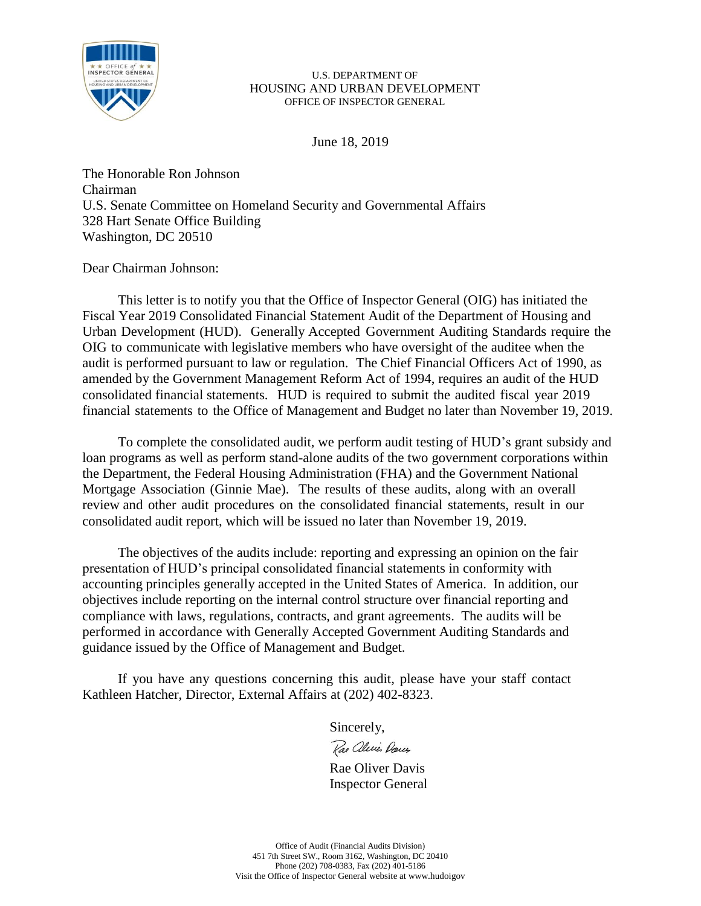

June 18, 2019

The Honorable Ron Johnson Chairman U.S. Senate Committee on Homeland Security and Governmental Affairs 328 Hart Senate Office Building Washington, DC 20510

Dear Chairman Johnson:

This letter is to notify you that the Office of Inspector General (OIG) has initiated the Fiscal Year 2019 Consolidated Financial Statement Audit of the Department of Housing and Urban Development (HUD). Generally Accepted Government Auditing Standards require the OIG to communicate with legislative members who have oversight of the auditee when the audit is performed pursuant to law or regulation. The Chief Financial Officers Act of 1990, as amended by the Government Management Reform Act of 1994, requires an audit of the HUD consolidated financial statements. HUD is required to submit the audited fiscal year 2019 financial statements to the Office of Management and Budget no later than November 19, 2019.

To complete the consolidated audit, we perform audit testing of HUD's grant subsidy and loan programs as well as perform stand-alone audits of the two government corporations within the Department, the Federal Housing Administration (FHA) and the Government National Mortgage Association (Ginnie Mae). The results of these audits, along with an overall review and other audit procedures on the consolidated financial statements, result in our consolidated audit report, which will be issued no later than November 19, 2019.

The objectives of the audits include: reporting and expressing an opinion on the fair presentation of HUD's principal consolidated financial statements in conformity with accounting principles generally accepted in the United States of America. In addition, our objectives include reporting on the internal control structure over financial reporting and compliance with laws, regulations, contracts, and grant agreements. The audits will be performed in accordance with Generally Accepted Government Auditing Standards and guidance issued by the Office of Management and Budget.

If you have any questions concerning this audit, please have your staff contact Kathleen Hatcher, Director, External Affairs at (202) 402-8323.

Sincerely,

Rae aleries Darcy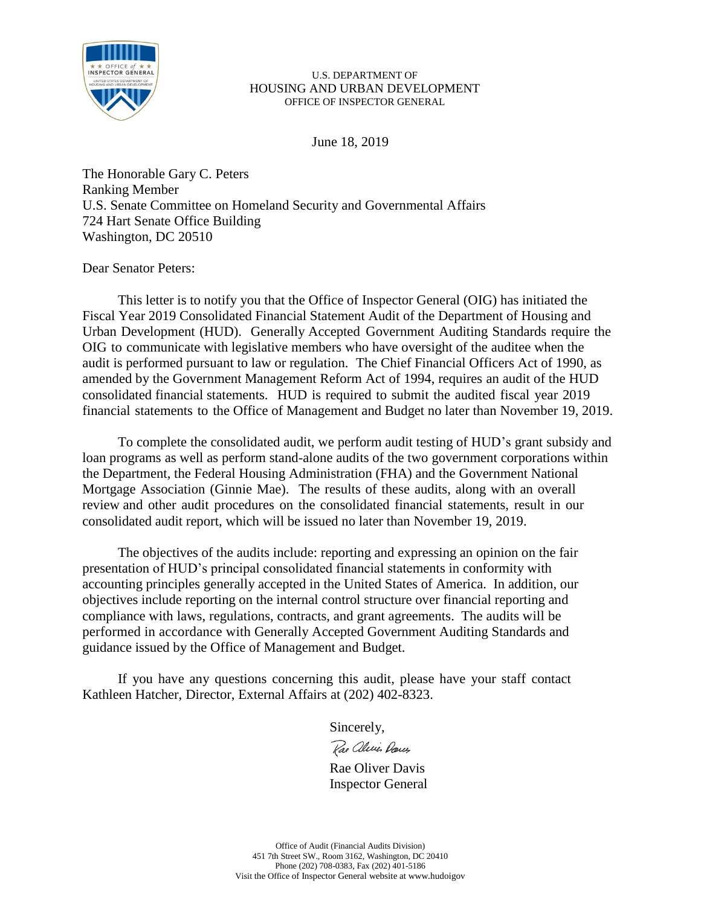

June 18, 2019

The Honorable Gary C. Peters Ranking Member U.S. Senate Committee on Homeland Security and Governmental Affairs 724 Hart Senate Office Building Washington, DC 20510

Dear Senator Peters:

This letter is to notify you that the Office of Inspector General (OIG) has initiated the Fiscal Year 2019 Consolidated Financial Statement Audit of the Department of Housing and Urban Development (HUD). Generally Accepted Government Auditing Standards require the OIG to communicate with legislative members who have oversight of the auditee when the audit is performed pursuant to law or regulation. The Chief Financial Officers Act of 1990, as amended by the Government Management Reform Act of 1994, requires an audit of the HUD consolidated financial statements. HUD is required to submit the audited fiscal year 2019 financial statements to the Office of Management and Budget no later than November 19, 2019.

To complete the consolidated audit, we perform audit testing of HUD's grant subsidy and loan programs as well as perform stand-alone audits of the two government corporations within the Department, the Federal Housing Administration (FHA) and the Government National Mortgage Association (Ginnie Mae). The results of these audits, along with an overall review and other audit procedures on the consolidated financial statements, result in our consolidated audit report, which will be issued no later than November 19, 2019.

The objectives of the audits include: reporting and expressing an opinion on the fair presentation of HUD's principal consolidated financial statements in conformity with accounting principles generally accepted in the United States of America. In addition, our objectives include reporting on the internal control structure over financial reporting and compliance with laws, regulations, contracts, and grant agreements. The audits will be performed in accordance with Generally Accepted Government Auditing Standards and guidance issued by the Office of Management and Budget.

If you have any questions concerning this audit, please have your staff contact Kathleen Hatcher, Director, External Affairs at (202) 402-8323.

Sincerely,

Rae aleries Darcy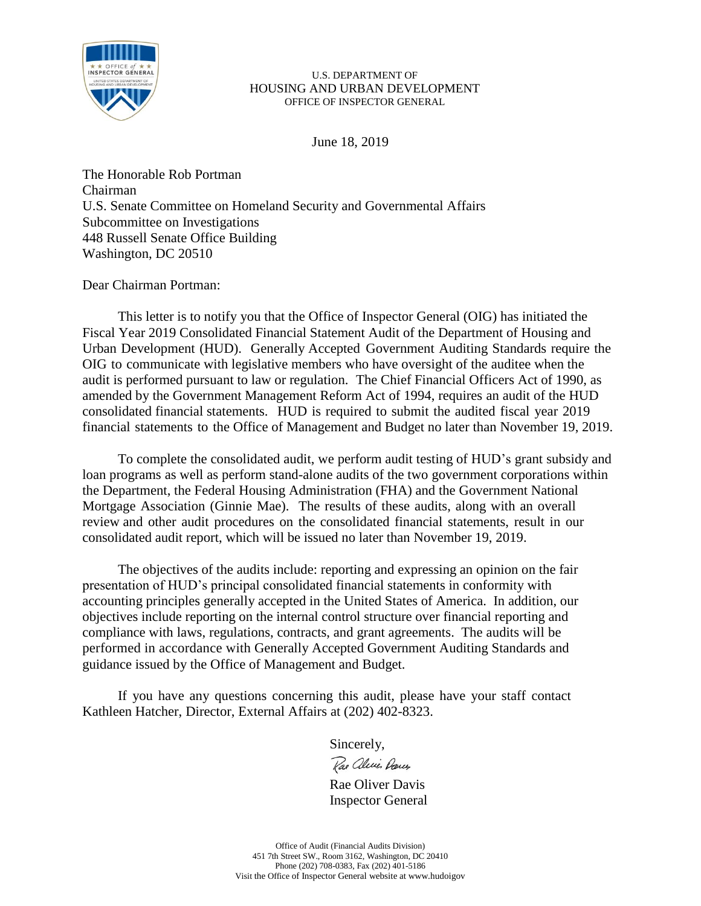

June 18, 2019

The Honorable Rob Portman Chairman U.S. Senate Committee on Homeland Security and Governmental Affairs Subcommittee on Investigations 448 Russell Senate Office Building Washington, DC 20510

Dear Chairman Portman:

This letter is to notify you that the Office of Inspector General (OIG) has initiated the Fiscal Year 2019 Consolidated Financial Statement Audit of the Department of Housing and Urban Development (HUD). Generally Accepted Government Auditing Standards require the OIG to communicate with legislative members who have oversight of the auditee when the audit is performed pursuant to law or regulation. The Chief Financial Officers Act of 1990, as amended by the Government Management Reform Act of 1994, requires an audit of the HUD consolidated financial statements. HUD is required to submit the audited fiscal year 2019 financial statements to the Office of Management and Budget no later than November 19, 2019.

To complete the consolidated audit, we perform audit testing of HUD's grant subsidy and loan programs as well as perform stand-alone audits of the two government corporations within the Department, the Federal Housing Administration (FHA) and the Government National Mortgage Association (Ginnie Mae). The results of these audits, along with an overall review and other audit procedures on the consolidated financial statements, result in our consolidated audit report, which will be issued no later than November 19, 2019.

The objectives of the audits include: reporting and expressing an opinion on the fair presentation of HUD's principal consolidated financial statements in conformity with accounting principles generally accepted in the United States of America. In addition, our objectives include reporting on the internal control structure over financial reporting and compliance with laws, regulations, contracts, and grant agreements. The audits will be performed in accordance with Generally Accepted Government Auditing Standards and guidance issued by the Office of Management and Budget.

If you have any questions concerning this audit, please have your staff contact Kathleen Hatcher, Director, External Affairs at (202) 402-8323.

Sincerely,

Rae alecie Dances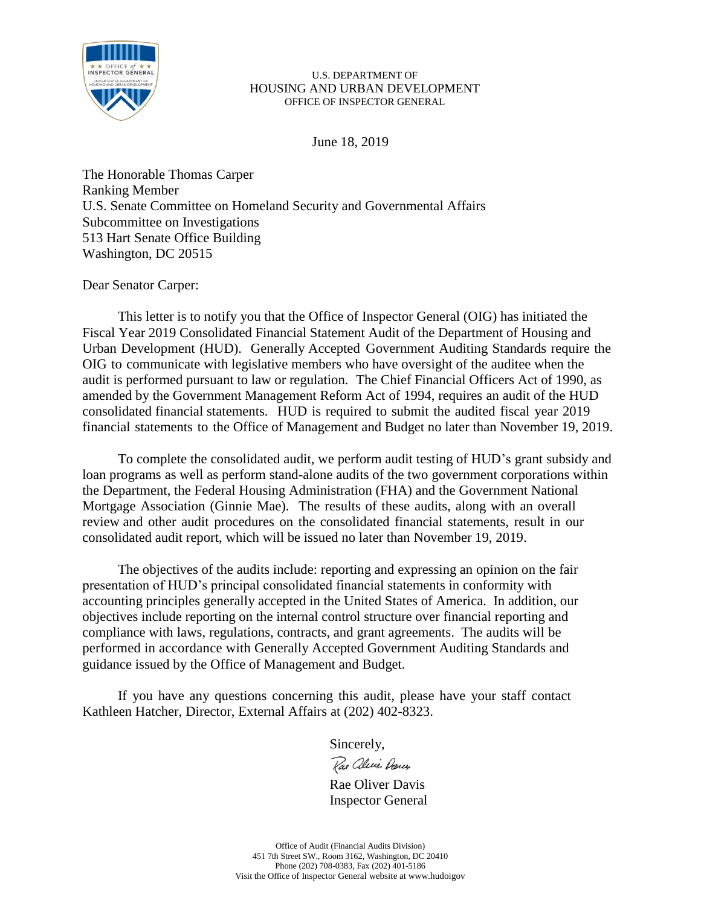

June 18, 2019

The Honorable Thomas Carper Ranking Member U.S. Senate Committee on Homeland Security and Governmental Affairs Subcommittee on Investigations 513 Hart Senate Office Building Washington, DC 20515

Dear Senator Carper:

This letter is to notify you that the Office of Inspector General (OIG) has initiated the Fiscal Year 2019 Consolidated Financial Statement Audit of the Department of Housing and Urban Development (HUD). Generally Accepted Government Auditing Standards require the OIG to communicate with legislative members who have oversight of the auditee when the audit is performed pursuant to law or regulation. The Chief Financial Officers Act of 1990, as amended by the Government Management Reform Act of 1994, requires an audit of the HUD consolidated financial statements. HUD is required to submit the audited fiscal year 2019 financial statements to the Office of Management and Budget no later than November 19, 2019.

To complete the consolidated audit, we perform audit testing of HUD's grant subsidy and loan programs as well as perform stand-alone audits of the two government corporations within the Department, the Federal Housing Administration (FHA) and the Government National Mortgage Association (Ginnie Mae). The results of these audits, along with an overall review and other audit procedures on the consolidated financial statements, result in our consolidated audit report, which will be issued no later than November 19, 2019.

The objectives of the audits include: reporting and expressing an opinion on the fair presentation of HUD's principal consolidated financial statements in conformity with accounting principles generally accepted in the United States of America. In addition, our objectives include reporting on the internal control structure over financial reporting and compliance with laws, regulations, contracts, and grant agreements. The audits will be performed in accordance with Generally Accepted Government Auditing Standards and guidance issued by the Office of Management and Budget.

If you have any questions concerning this audit, please have your staff contact Kathleen Hatcher, Director, External Affairs at (202) 402-8323.

Sincerely,

Rae alecie Dances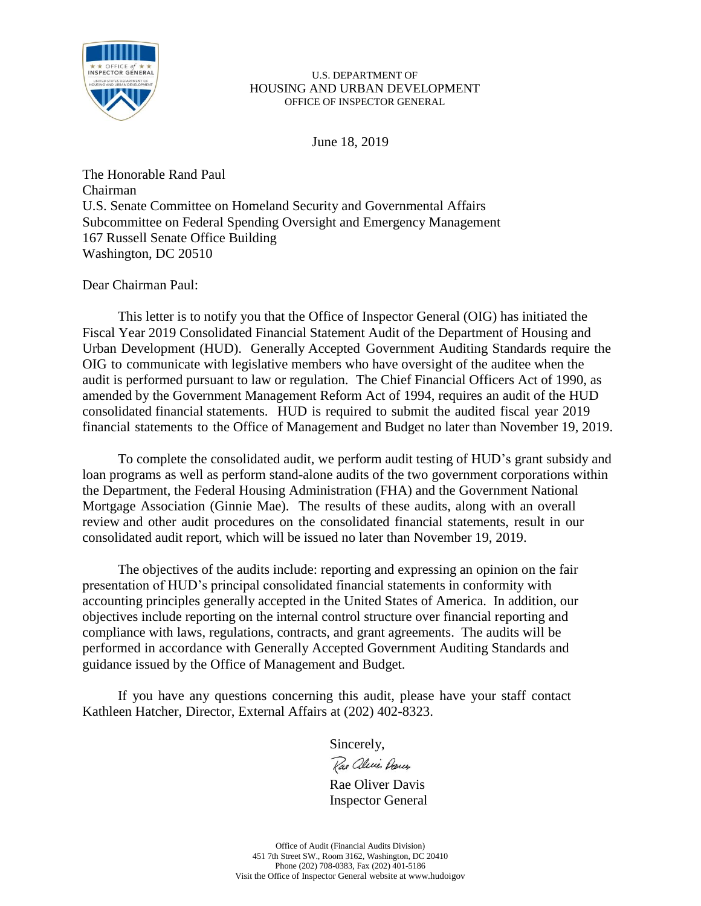

June 18, 2019

The Honorable Rand Paul Chairman U.S. Senate Committee on Homeland Security and Governmental Affairs Subcommittee on Federal Spending Oversight and Emergency Management 167 Russell Senate Office Building Washington, DC 20510

Dear Chairman Paul:

This letter is to notify you that the Office of Inspector General (OIG) has initiated the Fiscal Year 2019 Consolidated Financial Statement Audit of the Department of Housing and Urban Development (HUD). Generally Accepted Government Auditing Standards require the OIG to communicate with legislative members who have oversight of the auditee when the audit is performed pursuant to law or regulation. The Chief Financial Officers Act of 1990, as amended by the Government Management Reform Act of 1994, requires an audit of the HUD consolidated financial statements. HUD is required to submit the audited fiscal year 2019 financial statements to the Office of Management and Budget no later than November 19, 2019.

To complete the consolidated audit, we perform audit testing of HUD's grant subsidy and loan programs as well as perform stand-alone audits of the two government corporations within the Department, the Federal Housing Administration (FHA) and the Government National Mortgage Association (Ginnie Mae). The results of these audits, along with an overall review and other audit procedures on the consolidated financial statements, result in our consolidated audit report, which will be issued no later than November 19, 2019.

The objectives of the audits include: reporting and expressing an opinion on the fair presentation of HUD's principal consolidated financial statements in conformity with accounting principles generally accepted in the United States of America. In addition, our objectives include reporting on the internal control structure over financial reporting and compliance with laws, regulations, contracts, and grant agreements. The audits will be performed in accordance with Generally Accepted Government Auditing Standards and guidance issued by the Office of Management and Budget.

If you have any questions concerning this audit, please have your staff contact Kathleen Hatcher, Director, External Affairs at (202) 402-8323.

Sincerely,

Rae alecie Dances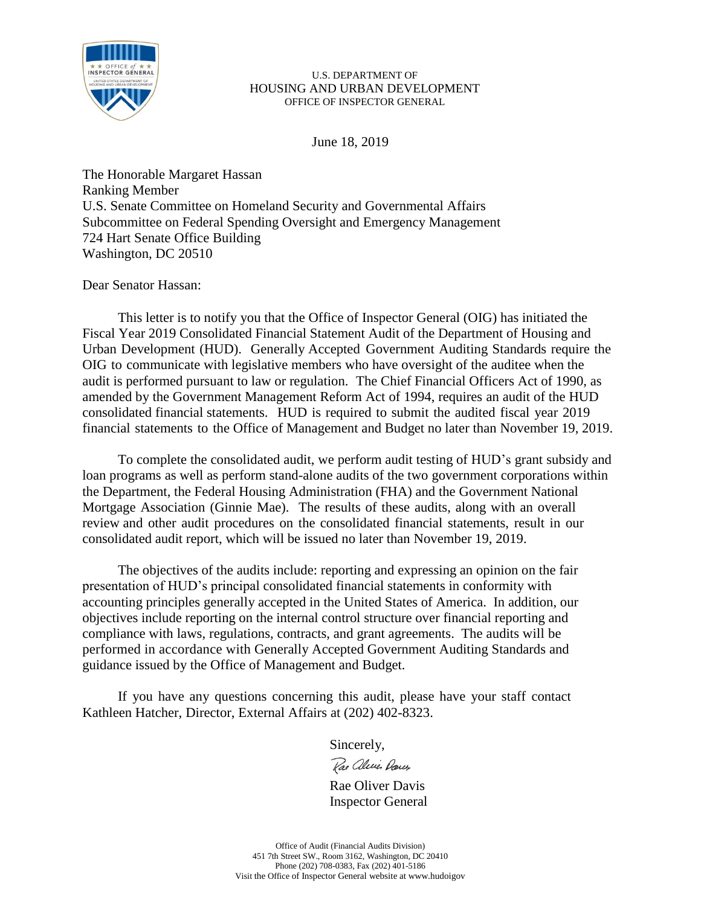

June 18, 2019

The Honorable Margaret Hassan Ranking Member U.S. Senate Committee on Homeland Security and Governmental Affairs Subcommittee on Federal Spending Oversight and Emergency Management 724 Hart Senate Office Building Washington, DC 20510

Dear Senator Hassan:

This letter is to notify you that the Office of Inspector General (OIG) has initiated the Fiscal Year 2019 Consolidated Financial Statement Audit of the Department of Housing and Urban Development (HUD). Generally Accepted Government Auditing Standards require the OIG to communicate with legislative members who have oversight of the auditee when the audit is performed pursuant to law or regulation. The Chief Financial Officers Act of 1990, as amended by the Government Management Reform Act of 1994, requires an audit of the HUD consolidated financial statements. HUD is required to submit the audited fiscal year 2019 financial statements to the Office of Management and Budget no later than November 19, 2019.

To complete the consolidated audit, we perform audit testing of HUD's grant subsidy and loan programs as well as perform stand-alone audits of the two government corporations within the Department, the Federal Housing Administration (FHA) and the Government National Mortgage Association (Ginnie Mae). The results of these audits, along with an overall review and other audit procedures on the consolidated financial statements, result in our consolidated audit report, which will be issued no later than November 19, 2019.

The objectives of the audits include: reporting and expressing an opinion on the fair presentation of HUD's principal consolidated financial statements in conformity with accounting principles generally accepted in the United States of America. In addition, our objectives include reporting on the internal control structure over financial reporting and compliance with laws, regulations, contracts, and grant agreements. The audits will be performed in accordance with Generally Accepted Government Auditing Standards and guidance issued by the Office of Management and Budget.

If you have any questions concerning this audit, please have your staff contact Kathleen Hatcher, Director, External Affairs at (202) 402-8323.

Sincerely,

Rae aleries Darcy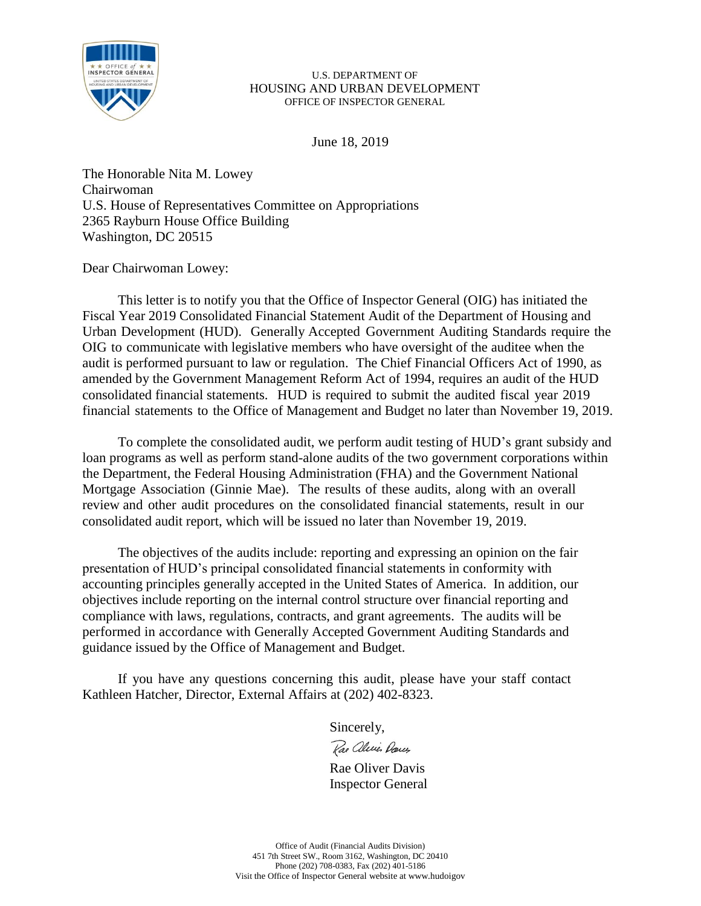

June 18, 2019

The Honorable Nita M. Lowey Chairwoman U.S. House of Representatives Committee on Appropriations 2365 Rayburn House Office Building Washington, DC 20515

Dear Chairwoman Lowey:

This letter is to notify you that the Office of Inspector General (OIG) has initiated the Fiscal Year 2019 Consolidated Financial Statement Audit of the Department of Housing and Urban Development (HUD). Generally Accepted Government Auditing Standards require the OIG to communicate with legislative members who have oversight of the auditee when the audit is performed pursuant to law or regulation. The Chief Financial Officers Act of 1990, as amended by the Government Management Reform Act of 1994, requires an audit of the HUD consolidated financial statements. HUD is required to submit the audited fiscal year 2019 financial statements to the Office of Management and Budget no later than November 19, 2019.

To complete the consolidated audit, we perform audit testing of HUD's grant subsidy and loan programs as well as perform stand-alone audits of the two government corporations within the Department, the Federal Housing Administration (FHA) and the Government National Mortgage Association (Ginnie Mae). The results of these audits, along with an overall review and other audit procedures on the consolidated financial statements, result in our consolidated audit report, which will be issued no later than November 19, 2019.

The objectives of the audits include: reporting and expressing an opinion on the fair presentation of HUD's principal consolidated financial statements in conformity with accounting principles generally accepted in the United States of America. In addition, our objectives include reporting on the internal control structure over financial reporting and compliance with laws, regulations, contracts, and grant agreements. The audits will be performed in accordance with Generally Accepted Government Auditing Standards and guidance issued by the Office of Management and Budget.

If you have any questions concerning this audit, please have your staff contact Kathleen Hatcher, Director, External Affairs at (202) 402-8323.

Sincerely,

Rae aleries Darcy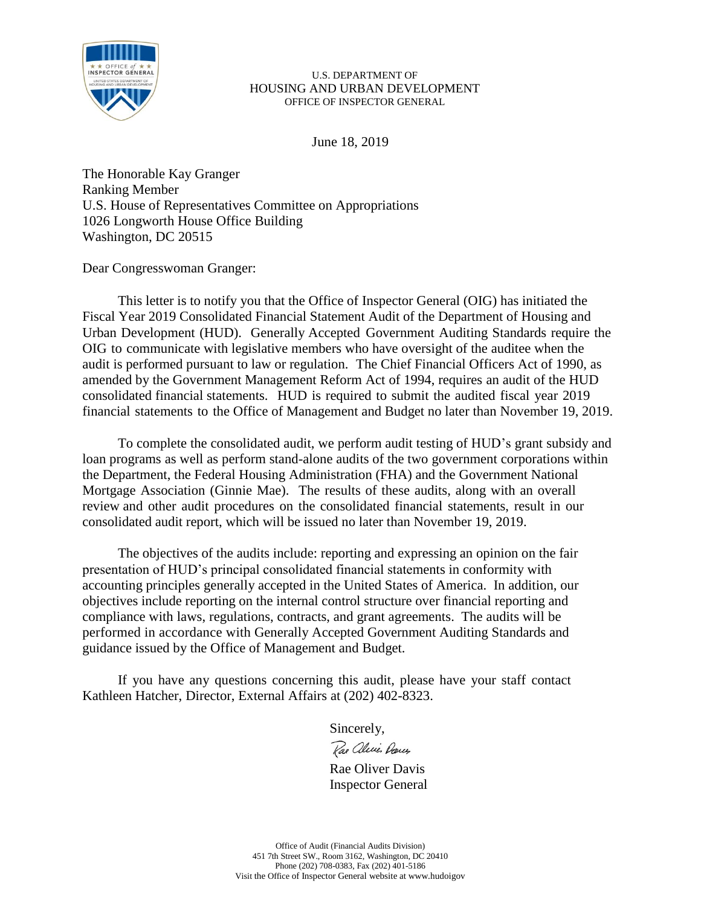

June 18, 2019

The Honorable Kay Granger Ranking Member U.S. House of Representatives Committee on Appropriations 1026 Longworth House Office Building Washington, DC 20515

Dear Congresswoman Granger:

This letter is to notify you that the Office of Inspector General (OIG) has initiated the Fiscal Year 2019 Consolidated Financial Statement Audit of the Department of Housing and Urban Development (HUD). Generally Accepted Government Auditing Standards require the OIG to communicate with legislative members who have oversight of the auditee when the audit is performed pursuant to law or regulation. The Chief Financial Officers Act of 1990, as amended by the Government Management Reform Act of 1994, requires an audit of the HUD consolidated financial statements. HUD is required to submit the audited fiscal year 2019 financial statements to the Office of Management and Budget no later than November 19, 2019.

To complete the consolidated audit, we perform audit testing of HUD's grant subsidy and loan programs as well as perform stand-alone audits of the two government corporations within the Department, the Federal Housing Administration (FHA) and the Government National Mortgage Association (Ginnie Mae). The results of these audits, along with an overall review and other audit procedures on the consolidated financial statements, result in our consolidated audit report, which will be issued no later than November 19, 2019.

The objectives of the audits include: reporting and expressing an opinion on the fair presentation of HUD's principal consolidated financial statements in conformity with accounting principles generally accepted in the United States of America. In addition, our objectives include reporting on the internal control structure over financial reporting and compliance with laws, regulations, contracts, and grant agreements. The audits will be performed in accordance with Generally Accepted Government Auditing Standards and guidance issued by the Office of Management and Budget.

If you have any questions concerning this audit, please have your staff contact Kathleen Hatcher, Director, External Affairs at (202) 402-8323.

Sincerely,

Rae alevis Darces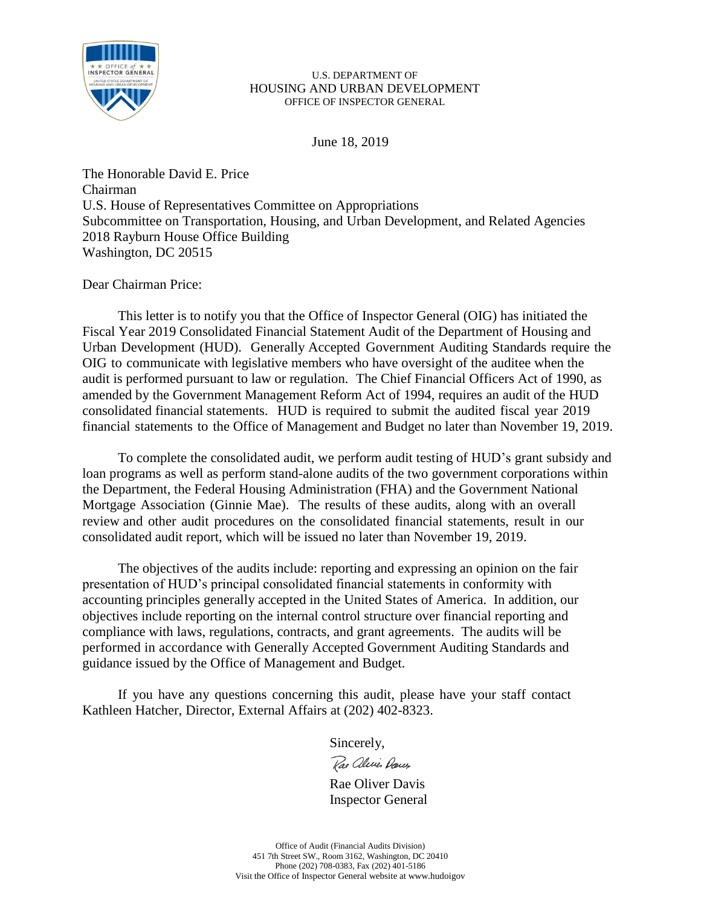

June 18, 2019

The Honorable David E. Price Chairman U.S. House of Representatives Committee on Appropriations Subcommittee on Transportation, Housing, and Urban Development, and Related Agencies 2018 Rayburn House Office Building Washington, DC 20515

Dear Chairman Price:

This letter is to notify you that the Office of Inspector General (OIG) has initiated the Fiscal Year 2019 Consolidated Financial Statement Audit of the Department of Housing and Urban Development (HUD). Generally Accepted Government Auditing Standards require the OIG to communicate with legislative members who have oversight of the auditee when the audit is performed pursuant to law or regulation. The Chief Financial Officers Act of 1990, as amended by the Government Management Reform Act of 1994, requires an audit of the HUD consolidated financial statements. HUD is required to submit the audited fiscal year 2019 financial statements to the Office of Management and Budget no later than November 19, 2019.

To complete the consolidated audit, we perform audit testing of HUD's grant subsidy and loan programs as well as perform stand-alone audits of the two government corporations within the Department, the Federal Housing Administration (FHA) and the Government National Mortgage Association (Ginnie Mae). The results of these audits, along with an overall review and other audit procedures on the consolidated financial statements, result in our consolidated audit report, which will be issued no later than November 19, 2019.

The objectives of the audits include: reporting and expressing an opinion on the fair presentation of HUD's principal consolidated financial statements in conformity with accounting principles generally accepted in the United States of America. In addition, our objectives include reporting on the internal control structure over financial reporting and compliance with laws, regulations, contracts, and grant agreements. The audits will be performed in accordance with Generally Accepted Government Auditing Standards and guidance issued by the Office of Management and Budget.

If you have any questions concerning this audit, please have your staff contact Kathleen Hatcher, Director, External Affairs at (202) 402-8323.

Sincerely,

Rae aleries Dances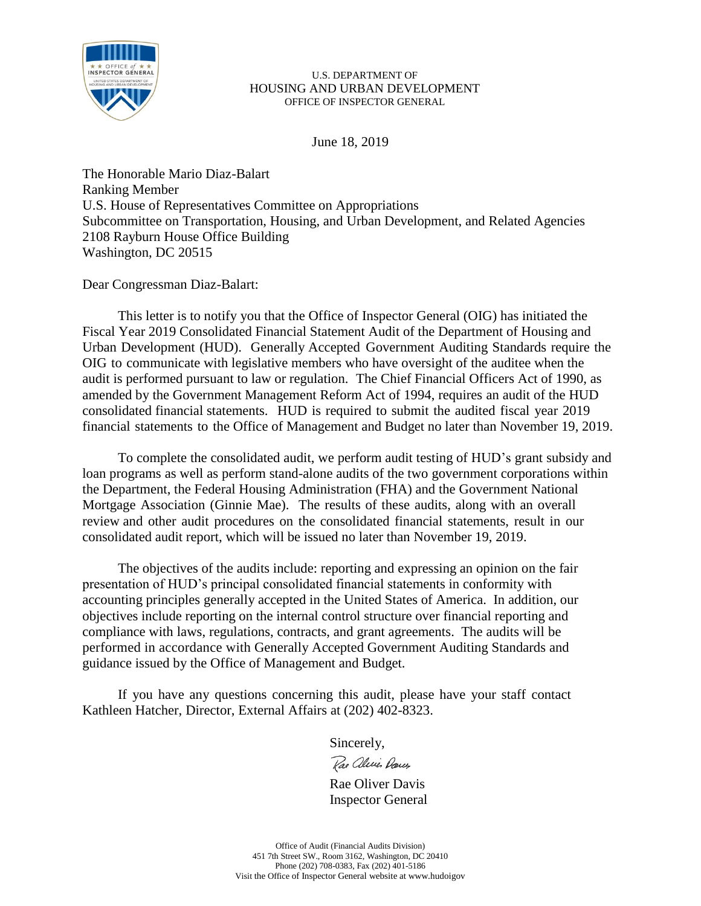

June 18, 2019

The Honorable Mario Diaz-Balart Ranking Member U.S. House of Representatives Committee on Appropriations Subcommittee on Transportation, Housing, and Urban Development, and Related Agencies 2108 Rayburn House Office Building Washington, DC 20515

Dear Congressman Diaz-Balart:

This letter is to notify you that the Office of Inspector General (OIG) has initiated the Fiscal Year 2019 Consolidated Financial Statement Audit of the Department of Housing and Urban Development (HUD). Generally Accepted Government Auditing Standards require the OIG to communicate with legislative members who have oversight of the auditee when the audit is performed pursuant to law or regulation. The Chief Financial Officers Act of 1990, as amended by the Government Management Reform Act of 1994, requires an audit of the HUD consolidated financial statements. HUD is required to submit the audited fiscal year 2019 financial statements to the Office of Management and Budget no later than November 19, 2019.

To complete the consolidated audit, we perform audit testing of HUD's grant subsidy and loan programs as well as perform stand-alone audits of the two government corporations within the Department, the Federal Housing Administration (FHA) and the Government National Mortgage Association (Ginnie Mae). The results of these audits, along with an overall review and other audit procedures on the consolidated financial statements, result in our consolidated audit report, which will be issued no later than November 19, 2019.

The objectives of the audits include: reporting and expressing an opinion on the fair presentation of HUD's principal consolidated financial statements in conformity with accounting principles generally accepted in the United States of America. In addition, our objectives include reporting on the internal control structure over financial reporting and compliance with laws, regulations, contracts, and grant agreements. The audits will be performed in accordance with Generally Accepted Government Auditing Standards and guidance issued by the Office of Management and Budget.

If you have any questions concerning this audit, please have your staff contact Kathleen Hatcher, Director, External Affairs at (202) 402-8323.

Sincerely,

Rae aleries Dances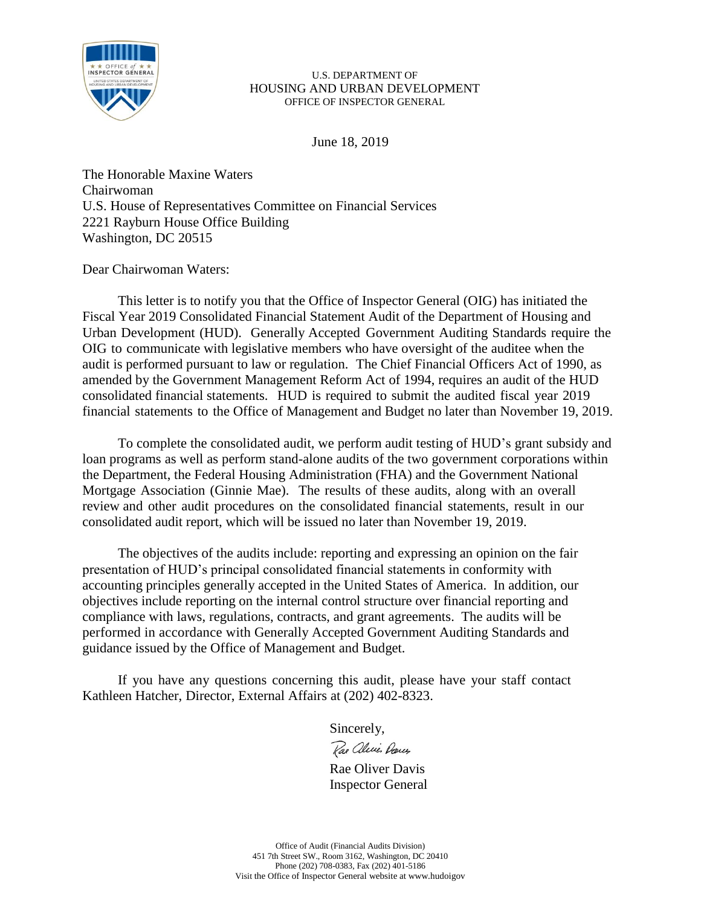

June 18, 2019

The Honorable Maxine Waters Chairwoman U.S. House of Representatives Committee on Financial Services 2221 Rayburn House Office Building Washington, DC 20515

# Dear Chairwoman Waters:

This letter is to notify you that the Office of Inspector General (OIG) has initiated the Fiscal Year 2019 Consolidated Financial Statement Audit of the Department of Housing and Urban Development (HUD). Generally Accepted Government Auditing Standards require the OIG to communicate with legislative members who have oversight of the auditee when the audit is performed pursuant to law or regulation. The Chief Financial Officers Act of 1990, as amended by the Government Management Reform Act of 1994, requires an audit of the HUD consolidated financial statements. HUD is required to submit the audited fiscal year 2019 financial statements to the Office of Management and Budget no later than November 19, 2019.

To complete the consolidated audit, we perform audit testing of HUD's grant subsidy and loan programs as well as perform stand-alone audits of the two government corporations within the Department, the Federal Housing Administration (FHA) and the Government National Mortgage Association (Ginnie Mae). The results of these audits, along with an overall review and other audit procedures on the consolidated financial statements, result in our consolidated audit report, which will be issued no later than November 19, 2019.

The objectives of the audits include: reporting and expressing an opinion on the fair presentation of HUD's principal consolidated financial statements in conformity with accounting principles generally accepted in the United States of America. In addition, our objectives include reporting on the internal control structure over financial reporting and compliance with laws, regulations, contracts, and grant agreements. The audits will be performed in accordance with Generally Accepted Government Auditing Standards and guidance issued by the Office of Management and Budget.

If you have any questions concerning this audit, please have your staff contact Kathleen Hatcher, Director, External Affairs at (202) 402-8323.

Sincerely,

Rae alevis Darces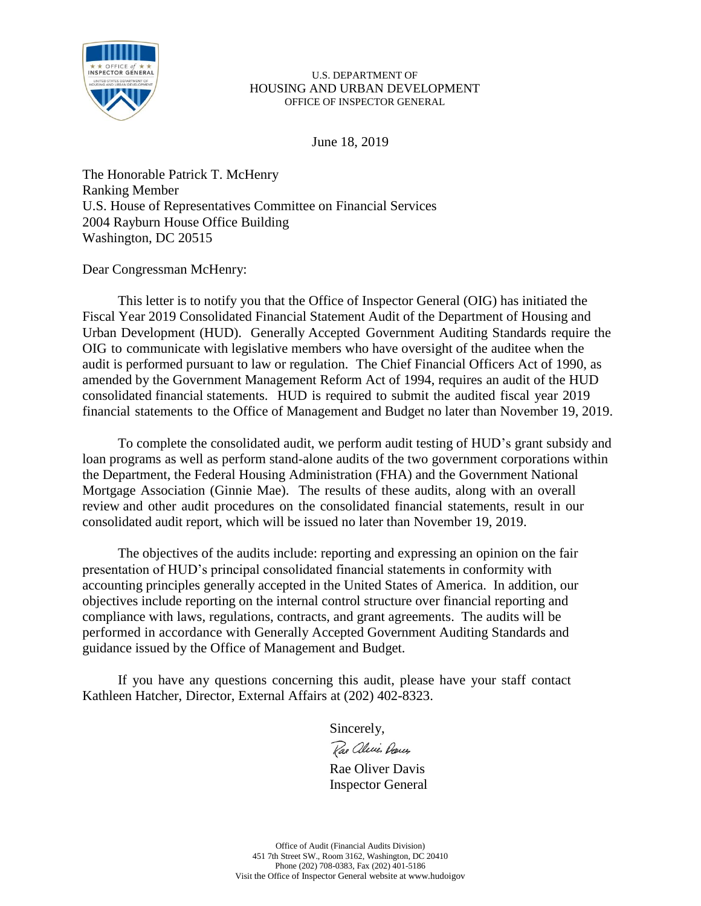

June 18, 2019

The Honorable Patrick T. McHenry Ranking Member U.S. House of Representatives Committee on Financial Services 2004 Rayburn House Office Building Washington, DC 20515

# Dear Congressman McHenry:

This letter is to notify you that the Office of Inspector General (OIG) has initiated the Fiscal Year 2019 Consolidated Financial Statement Audit of the Department of Housing and Urban Development (HUD). Generally Accepted Government Auditing Standards require the OIG to communicate with legislative members who have oversight of the auditee when the audit is performed pursuant to law or regulation. The Chief Financial Officers Act of 1990, as amended by the Government Management Reform Act of 1994, requires an audit of the HUD consolidated financial statements. HUD is required to submit the audited fiscal year 2019 financial statements to the Office of Management and Budget no later than November 19, 2019.

To complete the consolidated audit, we perform audit testing of HUD's grant subsidy and loan programs as well as perform stand-alone audits of the two government corporations within the Department, the Federal Housing Administration (FHA) and the Government National Mortgage Association (Ginnie Mae). The results of these audits, along with an overall review and other audit procedures on the consolidated financial statements, result in our consolidated audit report, which will be issued no later than November 19, 2019.

The objectives of the audits include: reporting and expressing an opinion on the fair presentation of HUD's principal consolidated financial statements in conformity with accounting principles generally accepted in the United States of America. In addition, our objectives include reporting on the internal control structure over financial reporting and compliance with laws, regulations, contracts, and grant agreements. The audits will be performed in accordance with Generally Accepted Government Auditing Standards and guidance issued by the Office of Management and Budget.

If you have any questions concerning this audit, please have your staff contact Kathleen Hatcher, Director, External Affairs at (202) 402-8323.

Sincerely,

Rae alevis Darces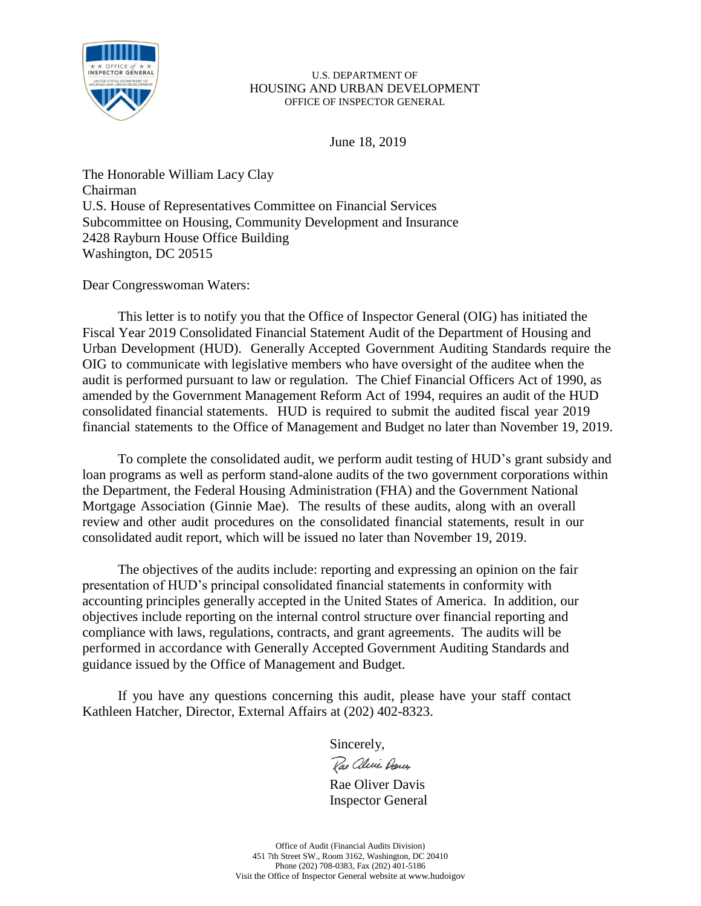

June 18, 2019

The Honorable William Lacy Clay Chairman U.S. House of Representatives Committee on Financial Services Subcommittee on Housing, Community Development and Insurance 2428 Rayburn House Office Building Washington, DC 20515

Dear Congresswoman Waters:

This letter is to notify you that the Office of Inspector General (OIG) has initiated the Fiscal Year 2019 Consolidated Financial Statement Audit of the Department of Housing and Urban Development (HUD). Generally Accepted Government Auditing Standards require the OIG to communicate with legislative members who have oversight of the auditee when the audit is performed pursuant to law or regulation. The Chief Financial Officers Act of 1990, as amended by the Government Management Reform Act of 1994, requires an audit of the HUD consolidated financial statements. HUD is required to submit the audited fiscal year 2019 financial statements to the Office of Management and Budget no later than November 19, 2019.

To complete the consolidated audit, we perform audit testing of HUD's grant subsidy and loan programs as well as perform stand-alone audits of the two government corporations within the Department, the Federal Housing Administration (FHA) and the Government National Mortgage Association (Ginnie Mae). The results of these audits, along with an overall review and other audit procedures on the consolidated financial statements, result in our consolidated audit report, which will be issued no later than November 19, 2019.

The objectives of the audits include: reporting and expressing an opinion on the fair presentation of HUD's principal consolidated financial statements in conformity with accounting principles generally accepted in the United States of America. In addition, our objectives include reporting on the internal control structure over financial reporting and compliance with laws, regulations, contracts, and grant agreements. The audits will be performed in accordance with Generally Accepted Government Auditing Standards and guidance issued by the Office of Management and Budget.

If you have any questions concerning this audit, please have your staff contact Kathleen Hatcher, Director, External Affairs at (202) 402-8323.

Sincerely,

Rae alecie Dances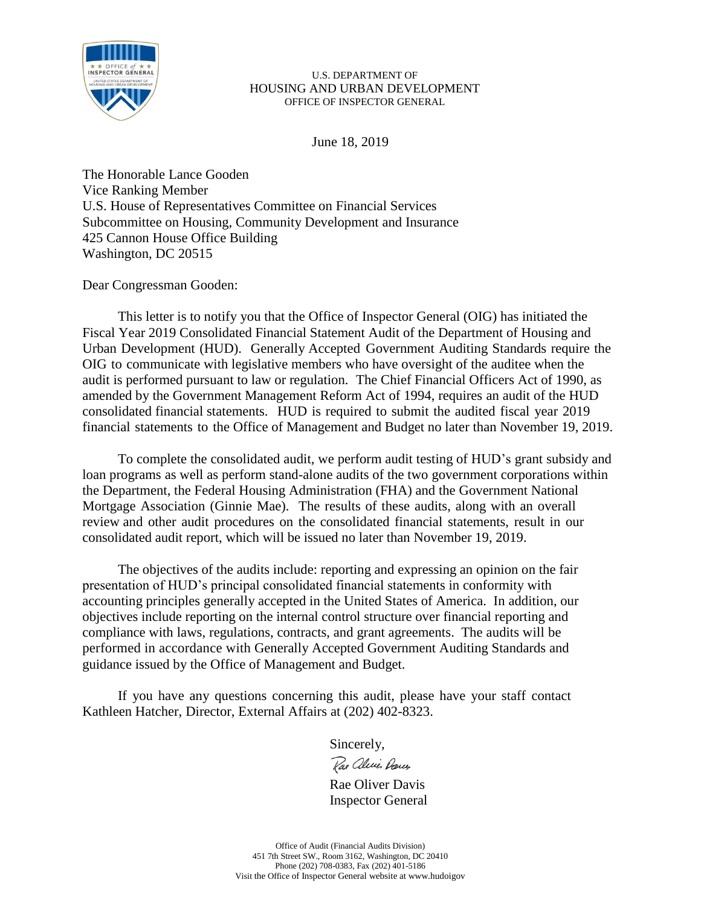

June 18, 2019

The Honorable Lance Gooden Vice Ranking Member U.S. House of Representatives Committee on Financial Services Subcommittee on Housing, Community Development and Insurance 425 Cannon House Office Building Washington, DC 20515

Dear Congressman Gooden:

This letter is to notify you that the Office of Inspector General (OIG) has initiated the Fiscal Year 2019 Consolidated Financial Statement Audit of the Department of Housing and Urban Development (HUD). Generally Accepted Government Auditing Standards require the OIG to communicate with legislative members who have oversight of the auditee when the audit is performed pursuant to law or regulation. The Chief Financial Officers Act of 1990, as amended by the Government Management Reform Act of 1994, requires an audit of the HUD consolidated financial statements. HUD is required to submit the audited fiscal year 2019 financial statements to the Office of Management and Budget no later than November 19, 2019.

To complete the consolidated audit, we perform audit testing of HUD's grant subsidy and loan programs as well as perform stand-alone audits of the two government corporations within the Department, the Federal Housing Administration (FHA) and the Government National Mortgage Association (Ginnie Mae). The results of these audits, along with an overall review and other audit procedures on the consolidated financial statements, result in our consolidated audit report, which will be issued no later than November 19, 2019.

The objectives of the audits include: reporting and expressing an opinion on the fair presentation of HUD's principal consolidated financial statements in conformity with accounting principles generally accepted in the United States of America. In addition, our objectives include reporting on the internal control structure over financial reporting and compliance with laws, regulations, contracts, and grant agreements. The audits will be performed in accordance with Generally Accepted Government Auditing Standards and guidance issued by the Office of Management and Budget.

If you have any questions concerning this audit, please have your staff contact Kathleen Hatcher, Director, External Affairs at (202) 402-8323.

Sincerely,

Rae alecie Dances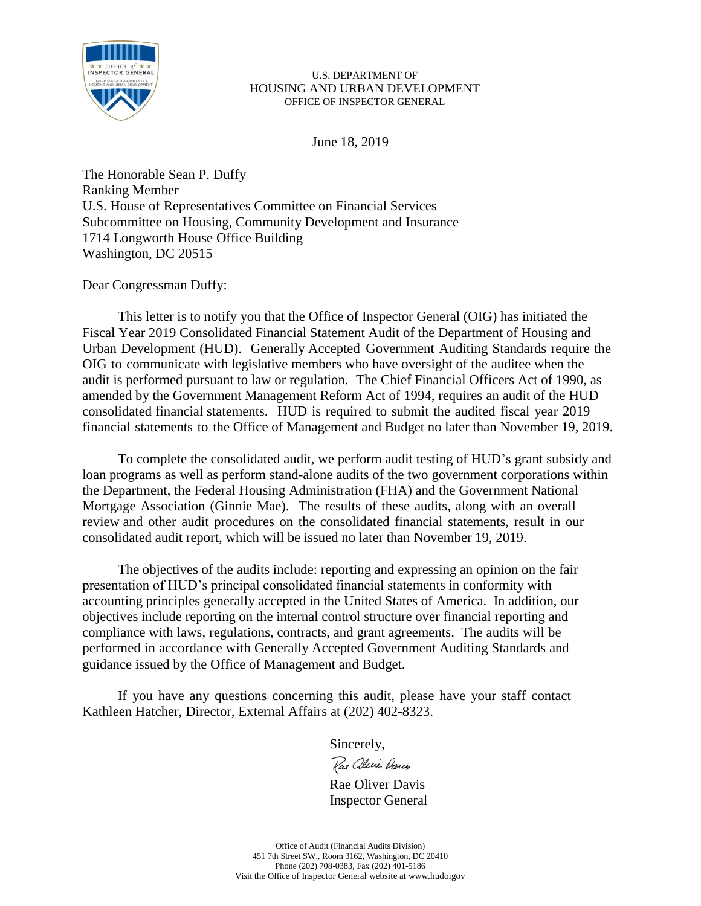

June 18, 2019

The Honorable Sean P. Duffy Ranking Member U.S. House of Representatives Committee on Financial Services Subcommittee on Housing, Community Development and Insurance 1714 Longworth House Office Building Washington, DC 20515

Dear Congressman Duffy:

This letter is to notify you that the Office of Inspector General (OIG) has initiated the Fiscal Year 2019 Consolidated Financial Statement Audit of the Department of Housing and Urban Development (HUD). Generally Accepted Government Auditing Standards require the OIG to communicate with legislative members who have oversight of the auditee when the audit is performed pursuant to law or regulation. The Chief Financial Officers Act of 1990, as amended by the Government Management Reform Act of 1994, requires an audit of the HUD consolidated financial statements. HUD is required to submit the audited fiscal year 2019 financial statements to the Office of Management and Budget no later than November 19, 2019.

To complete the consolidated audit, we perform audit testing of HUD's grant subsidy and loan programs as well as perform stand-alone audits of the two government corporations within the Department, the Federal Housing Administration (FHA) and the Government National Mortgage Association (Ginnie Mae). The results of these audits, along with an overall review and other audit procedures on the consolidated financial statements, result in our consolidated audit report, which will be issued no later than November 19, 2019.

The objectives of the audits include: reporting and expressing an opinion on the fair presentation of HUD's principal consolidated financial statements in conformity with accounting principles generally accepted in the United States of America. In addition, our objectives include reporting on the internal control structure over financial reporting and compliance with laws, regulations, contracts, and grant agreements. The audits will be performed in accordance with Generally Accepted Government Auditing Standards and guidance issued by the Office of Management and Budget.

If you have any questions concerning this audit, please have your staff contact Kathleen Hatcher, Director, External Affairs at (202) 402-8323.

Sincerely,

Rae alecie Dances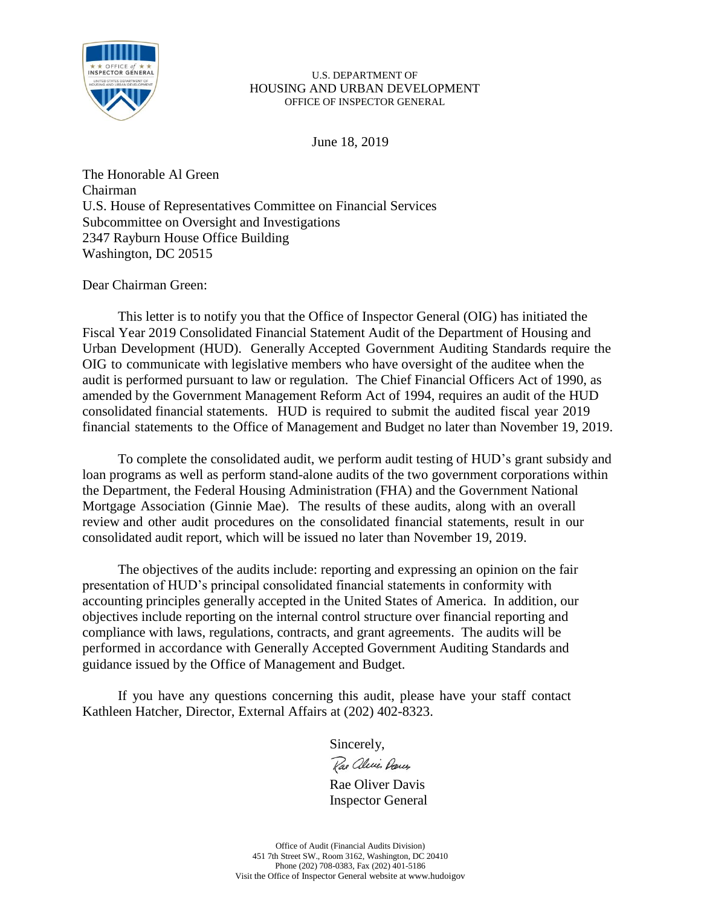

June 18, 2019

The Honorable Al Green Chairman U.S. House of Representatives Committee on Financial Services Subcommittee on Oversight and Investigations 2347 Rayburn House Office Building Washington, DC 20515

Dear Chairman Green:

This letter is to notify you that the Office of Inspector General (OIG) has initiated the Fiscal Year 2019 Consolidated Financial Statement Audit of the Department of Housing and Urban Development (HUD). Generally Accepted Government Auditing Standards require the OIG to communicate with legislative members who have oversight of the auditee when the audit is performed pursuant to law or regulation. The Chief Financial Officers Act of 1990, as amended by the Government Management Reform Act of 1994, requires an audit of the HUD consolidated financial statements. HUD is required to submit the audited fiscal year 2019 financial statements to the Office of Management and Budget no later than November 19, 2019.

To complete the consolidated audit, we perform audit testing of HUD's grant subsidy and loan programs as well as perform stand-alone audits of the two government corporations within the Department, the Federal Housing Administration (FHA) and the Government National Mortgage Association (Ginnie Mae). The results of these audits, along with an overall review and other audit procedures on the consolidated financial statements, result in our consolidated audit report, which will be issued no later than November 19, 2019.

The objectives of the audits include: reporting and expressing an opinion on the fair presentation of HUD's principal consolidated financial statements in conformity with accounting principles generally accepted in the United States of America. In addition, our objectives include reporting on the internal control structure over financial reporting and compliance with laws, regulations, contracts, and grant agreements. The audits will be performed in accordance with Generally Accepted Government Auditing Standards and guidance issued by the Office of Management and Budget.

If you have any questions concerning this audit, please have your staff contact Kathleen Hatcher, Director, External Affairs at (202) 402-8323.

Sincerely,

Rae alecie Dances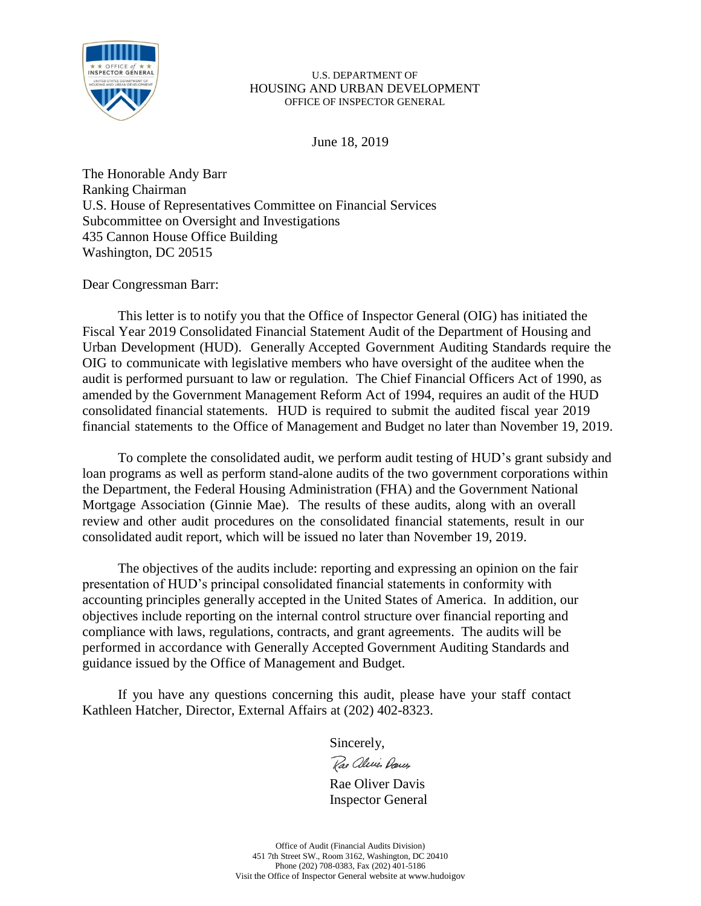

June 18, 2019

The Honorable Andy Barr Ranking Chairman U.S. House of Representatives Committee on Financial Services Subcommittee on Oversight and Investigations 435 Cannon House Office Building Washington, DC 20515

Dear Congressman Barr:

This letter is to notify you that the Office of Inspector General (OIG) has initiated the Fiscal Year 2019 Consolidated Financial Statement Audit of the Department of Housing and Urban Development (HUD). Generally Accepted Government Auditing Standards require the OIG to communicate with legislative members who have oversight of the auditee when the audit is performed pursuant to law or regulation. The Chief Financial Officers Act of 1990, as amended by the Government Management Reform Act of 1994, requires an audit of the HUD consolidated financial statements. HUD is required to submit the audited fiscal year 2019 financial statements to the Office of Management and Budget no later than November 19, 2019.

To complete the consolidated audit, we perform audit testing of HUD's grant subsidy and loan programs as well as perform stand-alone audits of the two government corporations within the Department, the Federal Housing Administration (FHA) and the Government National Mortgage Association (Ginnie Mae). The results of these audits, along with an overall review and other audit procedures on the consolidated financial statements, result in our consolidated audit report, which will be issued no later than November 19, 2019.

The objectives of the audits include: reporting and expressing an opinion on the fair presentation of HUD's principal consolidated financial statements in conformity with accounting principles generally accepted in the United States of America. In addition, our objectives include reporting on the internal control structure over financial reporting and compliance with laws, regulations, contracts, and grant agreements. The audits will be performed in accordance with Generally Accepted Government Auditing Standards and guidance issued by the Office of Management and Budget.

If you have any questions concerning this audit, please have your staff contact Kathleen Hatcher, Director, External Affairs at (202) 402-8323.

Sincerely,

Rae aleries Dances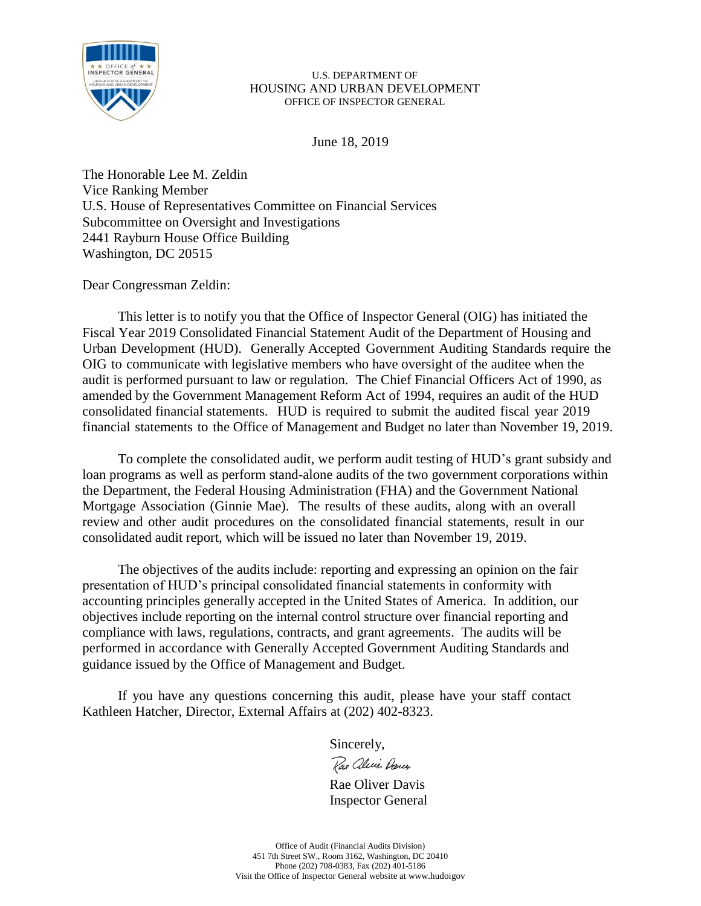

June 18, 2019

The Honorable Lee M. Zeldin Vice Ranking Member U.S. House of Representatives Committee on Financial Services Subcommittee on Oversight and Investigations 2441 Rayburn House Office Building Washington, DC 20515

Dear Congressman Zeldin:

This letter is to notify you that the Office of Inspector General (OIG) has initiated the Fiscal Year 2019 Consolidated Financial Statement Audit of the Department of Housing and Urban Development (HUD). Generally Accepted Government Auditing Standards require the OIG to communicate with legislative members who have oversight of the auditee when the audit is performed pursuant to law or regulation. The Chief Financial Officers Act of 1990, as amended by the Government Management Reform Act of 1994, requires an audit of the HUD consolidated financial statements. HUD is required to submit the audited fiscal year 2019 financial statements to the Office of Management and Budget no later than November 19, 2019.

To complete the consolidated audit, we perform audit testing of HUD's grant subsidy and loan programs as well as perform stand-alone audits of the two government corporations within the Department, the Federal Housing Administration (FHA) and the Government National Mortgage Association (Ginnie Mae). The results of these audits, along with an overall review and other audit procedures on the consolidated financial statements, result in our consolidated audit report, which will be issued no later than November 19, 2019.

The objectives of the audits include: reporting and expressing an opinion on the fair presentation of HUD's principal consolidated financial statements in conformity with accounting principles generally accepted in the United States of America. In addition, our objectives include reporting on the internal control structure over financial reporting and compliance with laws, regulations, contracts, and grant agreements. The audits will be performed in accordance with Generally Accepted Government Auditing Standards and guidance issued by the Office of Management and Budget.

If you have any questions concerning this audit, please have your staff contact Kathleen Hatcher, Director, External Affairs at (202) 402-8323.

Sincerely,

Rae alecie Dances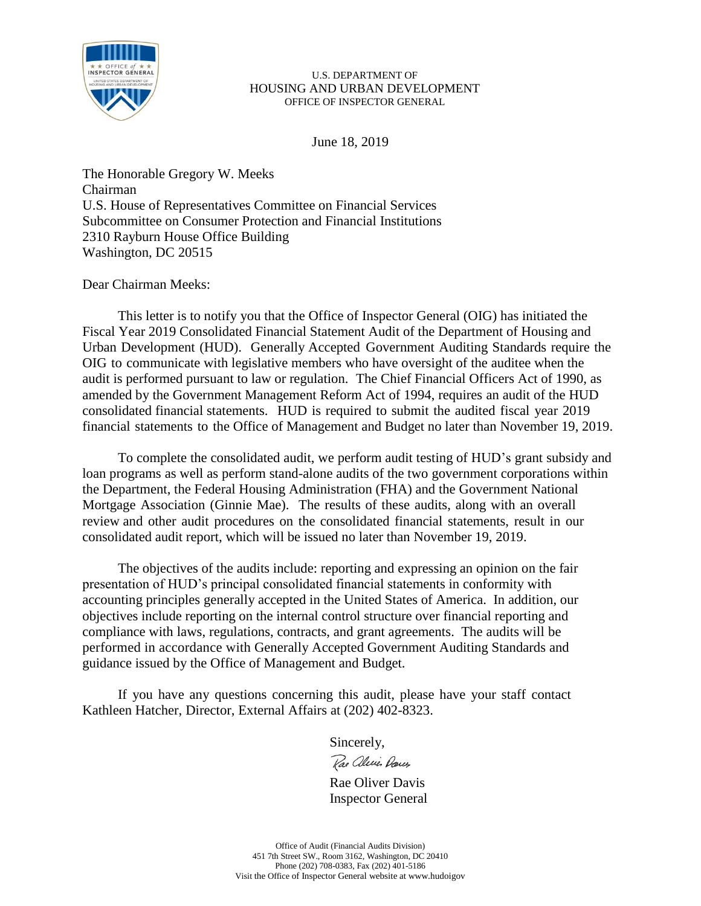

June 18, 2019

The Honorable Gregory W. Meeks Chairman U.S. House of Representatives Committee on Financial Services Subcommittee on Consumer Protection and Financial Institutions 2310 Rayburn House Office Building Washington, DC 20515

Dear Chairman Meeks:

This letter is to notify you that the Office of Inspector General (OIG) has initiated the Fiscal Year 2019 Consolidated Financial Statement Audit of the Department of Housing and Urban Development (HUD). Generally Accepted Government Auditing Standards require the OIG to communicate with legislative members who have oversight of the auditee when the audit is performed pursuant to law or regulation. The Chief Financial Officers Act of 1990, as amended by the Government Management Reform Act of 1994, requires an audit of the HUD consolidated financial statements. HUD is required to submit the audited fiscal year 2019 financial statements to the Office of Management and Budget no later than November 19, 2019.

To complete the consolidated audit, we perform audit testing of HUD's grant subsidy and loan programs as well as perform stand-alone audits of the two government corporations within the Department, the Federal Housing Administration (FHA) and the Government National Mortgage Association (Ginnie Mae). The results of these audits, along with an overall review and other audit procedures on the consolidated financial statements, result in our consolidated audit report, which will be issued no later than November 19, 2019.

The objectives of the audits include: reporting and expressing an opinion on the fair presentation of HUD's principal consolidated financial statements in conformity with accounting principles generally accepted in the United States of America. In addition, our objectives include reporting on the internal control structure over financial reporting and compliance with laws, regulations, contracts, and grant agreements. The audits will be performed in accordance with Generally Accepted Government Auditing Standards and guidance issued by the Office of Management and Budget.

If you have any questions concerning this audit, please have your staff contact Kathleen Hatcher, Director, External Affairs at (202) 402-8323.

Sincerely,

Rae aleries Darces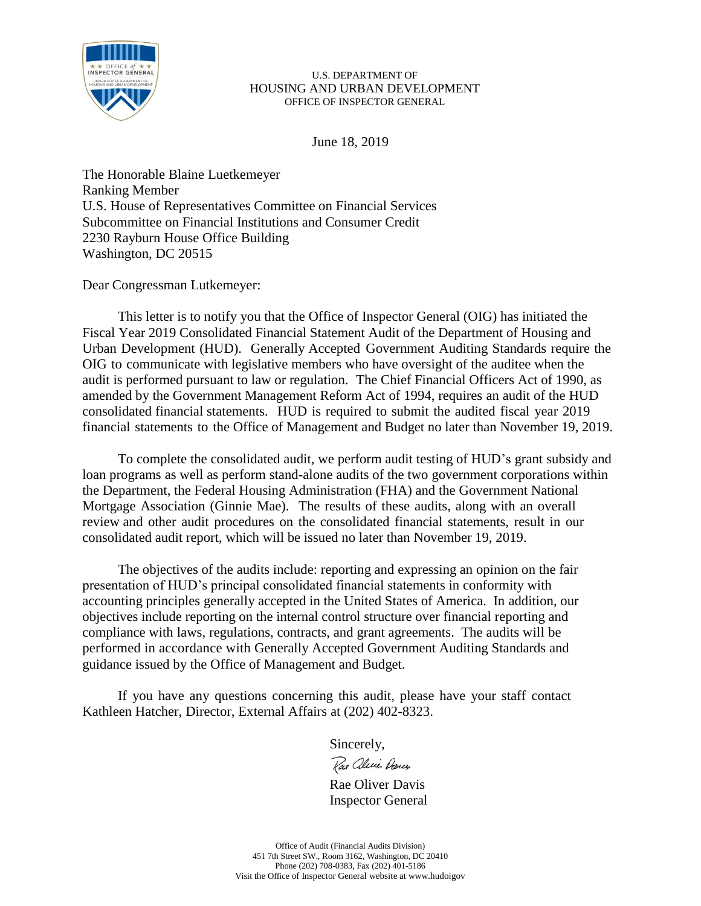

June 18, 2019

The Honorable Blaine Luetkemeyer Ranking Member U.S. House of Representatives Committee on Financial Services Subcommittee on Financial Institutions and Consumer Credit 2230 Rayburn House Office Building Washington, DC 20515

Dear Congressman Lutkemeyer:

This letter is to notify you that the Office of Inspector General (OIG) has initiated the Fiscal Year 2019 Consolidated Financial Statement Audit of the Department of Housing and Urban Development (HUD). Generally Accepted Government Auditing Standards require the OIG to communicate with legislative members who have oversight of the auditee when the audit is performed pursuant to law or regulation. The Chief Financial Officers Act of 1990, as amended by the Government Management Reform Act of 1994, requires an audit of the HUD consolidated financial statements. HUD is required to submit the audited fiscal year 2019 financial statements to the Office of Management and Budget no later than November 19, 2019.

To complete the consolidated audit, we perform audit testing of HUD's grant subsidy and loan programs as well as perform stand-alone audits of the two government corporations within the Department, the Federal Housing Administration (FHA) and the Government National Mortgage Association (Ginnie Mae). The results of these audits, along with an overall review and other audit procedures on the consolidated financial statements, result in our consolidated audit report, which will be issued no later than November 19, 2019.

The objectives of the audits include: reporting and expressing an opinion on the fair presentation of HUD's principal consolidated financial statements in conformity with accounting principles generally accepted in the United States of America. In addition, our objectives include reporting on the internal control structure over financial reporting and compliance with laws, regulations, contracts, and grant agreements. The audits will be performed in accordance with Generally Accepted Government Auditing Standards and guidance issued by the Office of Management and Budget.

If you have any questions concerning this audit, please have your staff contact Kathleen Hatcher, Director, External Affairs at (202) 402-8323.

Sincerely,

Rae alecie Dances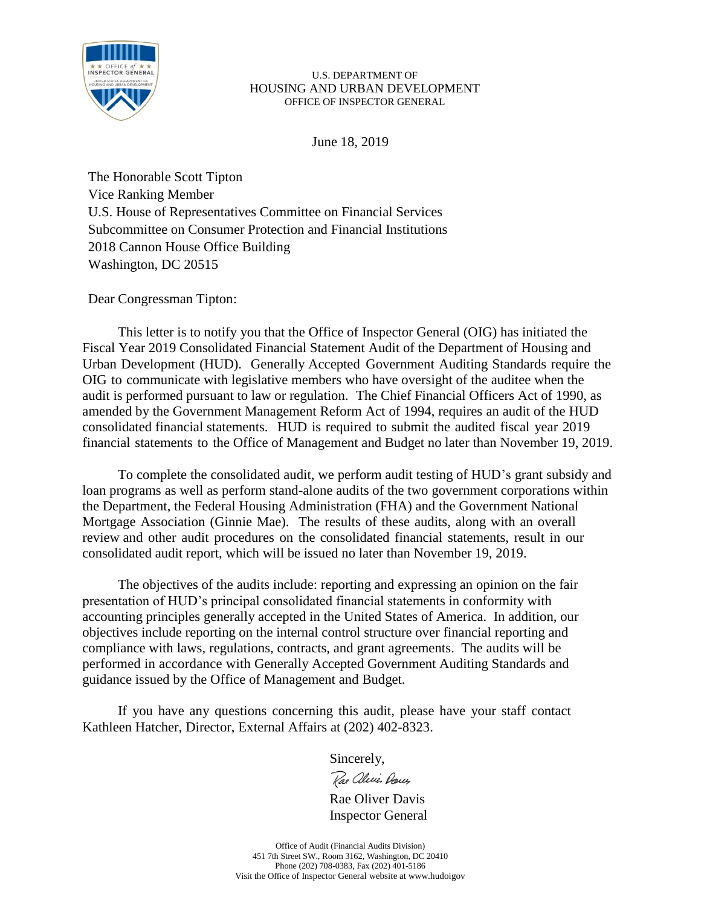

June 18, 2019

The Honorable Scott Tipton Vice Ranking Member U.S. House of Representatives Committee on Financial Services Subcommittee on Consumer Protection and Financial Institutions 2018 Cannon House Office Building Washington, DC 20515

Dear Congressman Tipton:

This letter is to notify you that the Office of Inspector General (OIG) has initiated the Fiscal Year 2019 Consolidated Financial Statement Audit of the Department of Housing and Urban Development (HUD). Generally Accepted Government Auditing Standards require the OIG to communicate with legislative members who have oversight of the auditee when the audit is performed pursuant to law or regulation. The Chief Financial Officers Act of 1990, as amended by the Government Management Reform Act of 1994, requires an audit of the HUD consolidated financial statements. HUD is required to submit the audited fiscal year 2019 financial statements to the Office of Management and Budget no later than November 19, 2019.

To complete the consolidated audit, we perform audit testing of HUD's grant subsidy and loan programs as well as perform stand-alone audits of the two government corporations within the Department, the Federal Housing Administration (FHA) and the Government National Mortgage Association (Ginnie Mae). The results of these audits, along with an overall review and other audit procedures on the consolidated financial statements, result in our consolidated audit report, which will be issued no later than November 19, 2019.

The objectives of the audits include: reporting and expressing an opinion on the fair presentation of HUD's principal consolidated financial statements in conformity with accounting principles generally accepted in the United States of America. In addition, our objectives include reporting on the internal control structure over financial reporting and compliance with laws, regulations, contracts, and grant agreements. The audits will be performed in accordance with Generally Accepted Government Auditing Standards and guidance issued by the Office of Management and Budget.

If you have any questions concerning this audit, please have your staff contact Kathleen Hatcher, Director, External Affairs at (202) 402-8323.

Sincerely,

Rae alevis Dances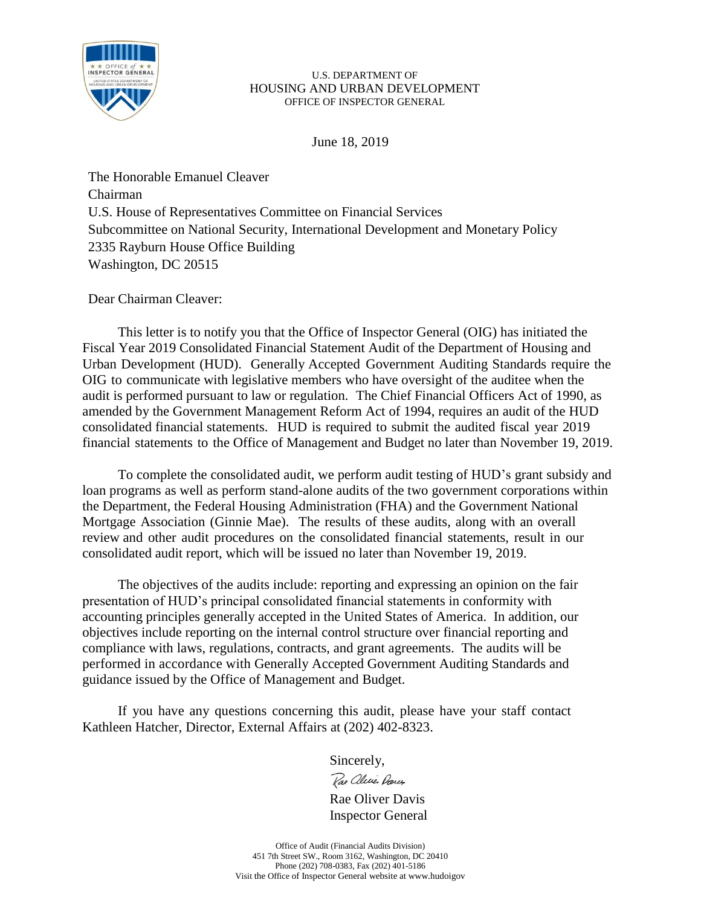

June 18, 2019

The Honorable Emanuel Cleaver Chairman U.S. House of Representatives Committee on Financial Services Subcommittee on National Security, International Development and Monetary Policy 2335 Rayburn House Office Building Washington, DC 20515

Dear Chairman Cleaver:

This letter is to notify you that the Office of Inspector General (OIG) has initiated the Fiscal Year 2019 Consolidated Financial Statement Audit of the Department of Housing and Urban Development (HUD). Generally Accepted Government Auditing Standards require the OIG to communicate with legislative members who have oversight of the auditee when the audit is performed pursuant to law or regulation. The Chief Financial Officers Act of 1990, as amended by the Government Management Reform Act of 1994, requires an audit of the HUD consolidated financial statements. HUD is required to submit the audited fiscal year 2019 financial statements to the Office of Management and Budget no later than November 19, 2019.

To complete the consolidated audit, we perform audit testing of HUD's grant subsidy and loan programs as well as perform stand-alone audits of the two government corporations within the Department, the Federal Housing Administration (FHA) and the Government National Mortgage Association (Ginnie Mae). The results of these audits, along with an overall review and other audit procedures on the consolidated financial statements, result in our consolidated audit report, which will be issued no later than November 19, 2019.

The objectives of the audits include: reporting and expressing an opinion on the fair presentation of HUD's principal consolidated financial statements in conformity with accounting principles generally accepted in the United States of America. In addition, our objectives include reporting on the internal control structure over financial reporting and compliance with laws, regulations, contracts, and grant agreements. The audits will be performed in accordance with Generally Accepted Government Auditing Standards and guidance issued by the Office of Management and Budget.

If you have any questions concerning this audit, please have your staff contact Kathleen Hatcher, Director, External Affairs at (202) 402-8323.

Sincerely,

Rae aleries Dances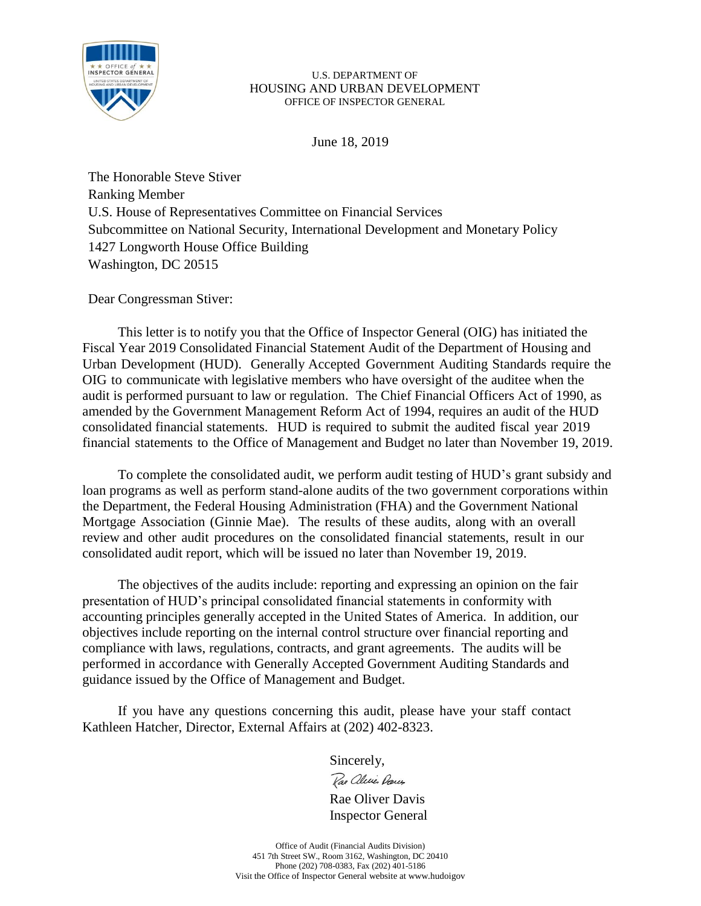

June 18, 2019

The Honorable Steve Stiver Ranking Member U.S. House of Representatives Committee on Financial Services Subcommittee on National Security, International Development and Monetary Policy 1427 Longworth House Office Building Washington, DC 20515

Dear Congressman Stiver:

This letter is to notify you that the Office of Inspector General (OIG) has initiated the Fiscal Year 2019 Consolidated Financial Statement Audit of the Department of Housing and Urban Development (HUD). Generally Accepted Government Auditing Standards require the OIG to communicate with legislative members who have oversight of the auditee when the audit is performed pursuant to law or regulation. The Chief Financial Officers Act of 1990, as amended by the Government Management Reform Act of 1994, requires an audit of the HUD consolidated financial statements. HUD is required to submit the audited fiscal year 2019 financial statements to the Office of Management and Budget no later than November 19, 2019.

To complete the consolidated audit, we perform audit testing of HUD's grant subsidy and loan programs as well as perform stand-alone audits of the two government corporations within the Department, the Federal Housing Administration (FHA) and the Government National Mortgage Association (Ginnie Mae). The results of these audits, along with an overall review and other audit procedures on the consolidated financial statements, result in our consolidated audit report, which will be issued no later than November 19, 2019.

The objectives of the audits include: reporting and expressing an opinion on the fair presentation of HUD's principal consolidated financial statements in conformity with accounting principles generally accepted in the United States of America. In addition, our objectives include reporting on the internal control structure over financial reporting and compliance with laws, regulations, contracts, and grant agreements. The audits will be performed in accordance with Generally Accepted Government Auditing Standards and guidance issued by the Office of Management and Budget.

If you have any questions concerning this audit, please have your staff contact Kathleen Hatcher, Director, External Affairs at (202) 402-8323.

Sincerely,

Rae aleries Dances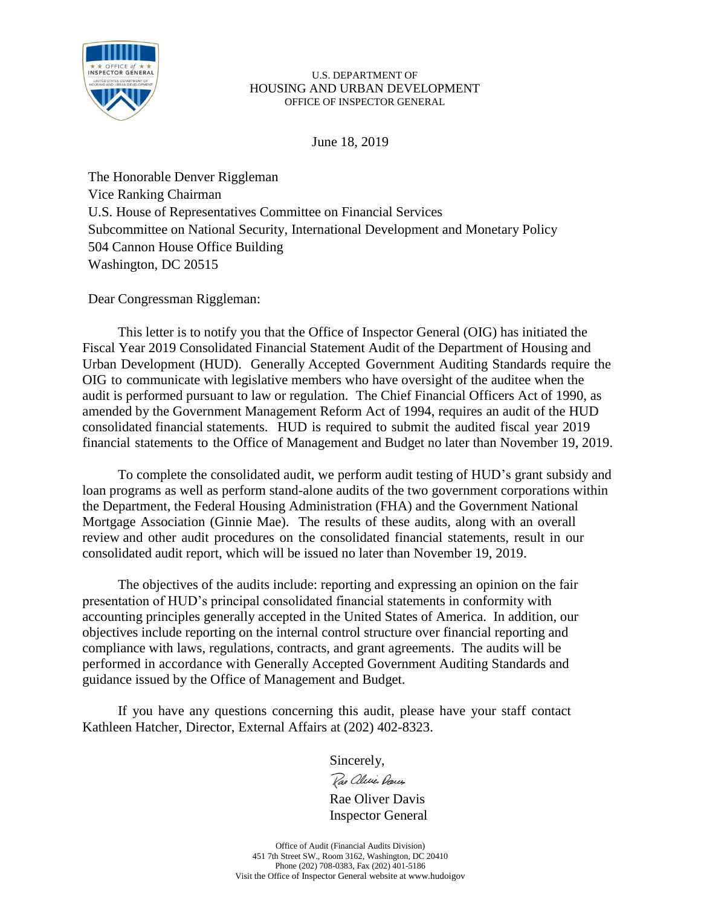

June 18, 2019

The Honorable Denver Riggleman Vice Ranking Chairman U.S. House of Representatives Committee on Financial Services Subcommittee on National Security, International Development and Monetary Policy 504 Cannon House Office Building Washington, DC 20515

Dear Congressman Riggleman:

This letter is to notify you that the Office of Inspector General (OIG) has initiated the Fiscal Year 2019 Consolidated Financial Statement Audit of the Department of Housing and Urban Development (HUD). Generally Accepted Government Auditing Standards require the OIG to communicate with legislative members who have oversight of the auditee when the audit is performed pursuant to law or regulation. The Chief Financial Officers Act of 1990, as amended by the Government Management Reform Act of 1994, requires an audit of the HUD consolidated financial statements. HUD is required to submit the audited fiscal year 2019 financial statements to the Office of Management and Budget no later than November 19, 2019.

To complete the consolidated audit, we perform audit testing of HUD's grant subsidy and loan programs as well as perform stand-alone audits of the two government corporations within the Department, the Federal Housing Administration (FHA) and the Government National Mortgage Association (Ginnie Mae). The results of these audits, along with an overall review and other audit procedures on the consolidated financial statements, result in our consolidated audit report, which will be issued no later than November 19, 2019.

The objectives of the audits include: reporting and expressing an opinion on the fair presentation of HUD's principal consolidated financial statements in conformity with accounting principles generally accepted in the United States of America. In addition, our objectives include reporting on the internal control structure over financial reporting and compliance with laws, regulations, contracts, and grant agreements. The audits will be performed in accordance with Generally Accepted Government Auditing Standards and guidance issued by the Office of Management and Budget.

If you have any questions concerning this audit, please have your staff contact Kathleen Hatcher, Director, External Affairs at (202) 402-8323.

Sincerely,

Rae aleries Dances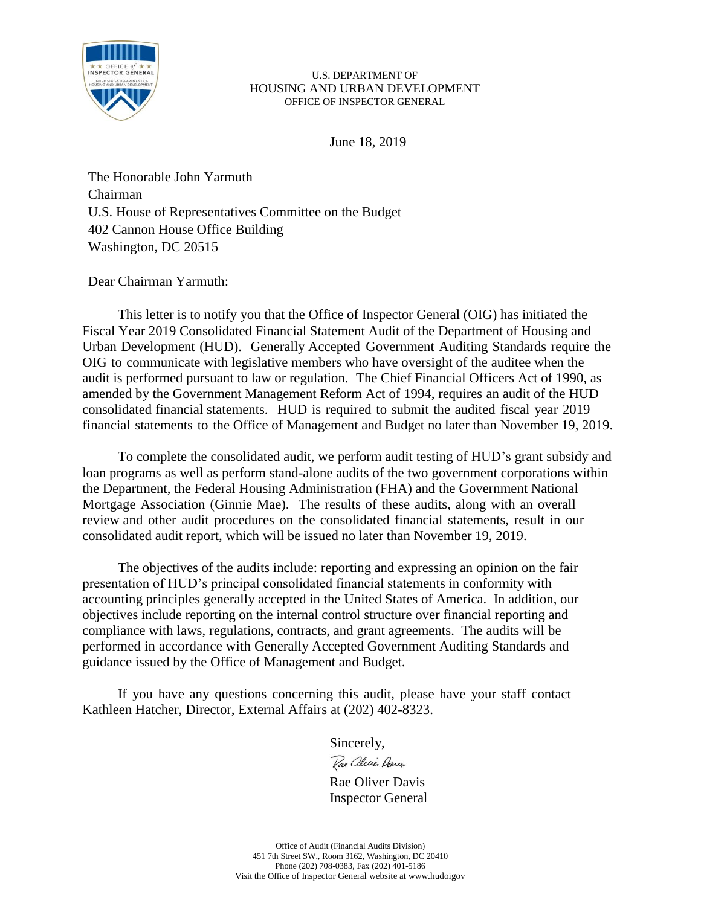

June 18, 2019

The Honorable John Yarmuth Chairman U.S. House of Representatives Committee on the Budget 402 Cannon House Office Building Washington, DC 20515

# Dear Chairman Yarmuth:

This letter is to notify you that the Office of Inspector General (OIG) has initiated the Fiscal Year 2019 Consolidated Financial Statement Audit of the Department of Housing and Urban Development (HUD). Generally Accepted Government Auditing Standards require the OIG to communicate with legislative members who have oversight of the auditee when the audit is performed pursuant to law or regulation. The Chief Financial Officers Act of 1990, as amended by the Government Management Reform Act of 1994, requires an audit of the HUD consolidated financial statements. HUD is required to submit the audited fiscal year 2019 financial statements to the Office of Management and Budget no later than November 19, 2019.

To complete the consolidated audit, we perform audit testing of HUD's grant subsidy and loan programs as well as perform stand-alone audits of the two government corporations within the Department, the Federal Housing Administration (FHA) and the Government National Mortgage Association (Ginnie Mae). The results of these audits, along with an overall review and other audit procedures on the consolidated financial statements, result in our consolidated audit report, which will be issued no later than November 19, 2019.

The objectives of the audits include: reporting and expressing an opinion on the fair presentation of HUD's principal consolidated financial statements in conformity with accounting principles generally accepted in the United States of America. In addition, our objectives include reporting on the internal control structure over financial reporting and compliance with laws, regulations, contracts, and grant agreements. The audits will be performed in accordance with Generally Accepted Government Auditing Standards and guidance issued by the Office of Management and Budget.

If you have any questions concerning this audit, please have your staff contact Kathleen Hatcher, Director, External Affairs at (202) 402-8323.

Sincerely,

Rae aleries Dans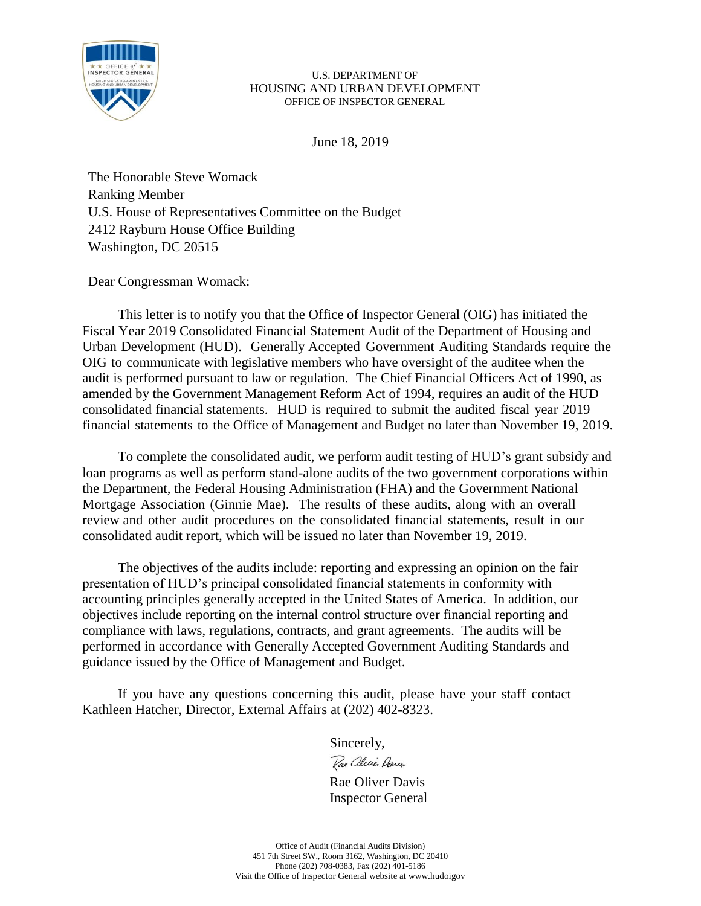

June 18, 2019

The Honorable Steve Womack Ranking Member U.S. House of Representatives Committee on the Budget 2412 Rayburn House Office Building Washington, DC 20515

Dear Congressman Womack:

This letter is to notify you that the Office of Inspector General (OIG) has initiated the Fiscal Year 2019 Consolidated Financial Statement Audit of the Department of Housing and Urban Development (HUD). Generally Accepted Government Auditing Standards require the OIG to communicate with legislative members who have oversight of the auditee when the audit is performed pursuant to law or regulation. The Chief Financial Officers Act of 1990, as amended by the Government Management Reform Act of 1994, requires an audit of the HUD consolidated financial statements. HUD is required to submit the audited fiscal year 2019 financial statements to the Office of Management and Budget no later than November 19, 2019.

To complete the consolidated audit, we perform audit testing of HUD's grant subsidy and loan programs as well as perform stand-alone audits of the two government corporations within the Department, the Federal Housing Administration (FHA) and the Government National Mortgage Association (Ginnie Mae). The results of these audits, along with an overall review and other audit procedures on the consolidated financial statements, result in our consolidated audit report, which will be issued no later than November 19, 2019.

The objectives of the audits include: reporting and expressing an opinion on the fair presentation of HUD's principal consolidated financial statements in conformity with accounting principles generally accepted in the United States of America. In addition, our objectives include reporting on the internal control structure over financial reporting and compliance with laws, regulations, contracts, and grant agreements. The audits will be performed in accordance with Generally Accepted Government Auditing Standards and guidance issued by the Office of Management and Budget.

If you have any questions concerning this audit, please have your staff contact Kathleen Hatcher, Director, External Affairs at (202) 402-8323.

Sincerely,

Rae aleries Dans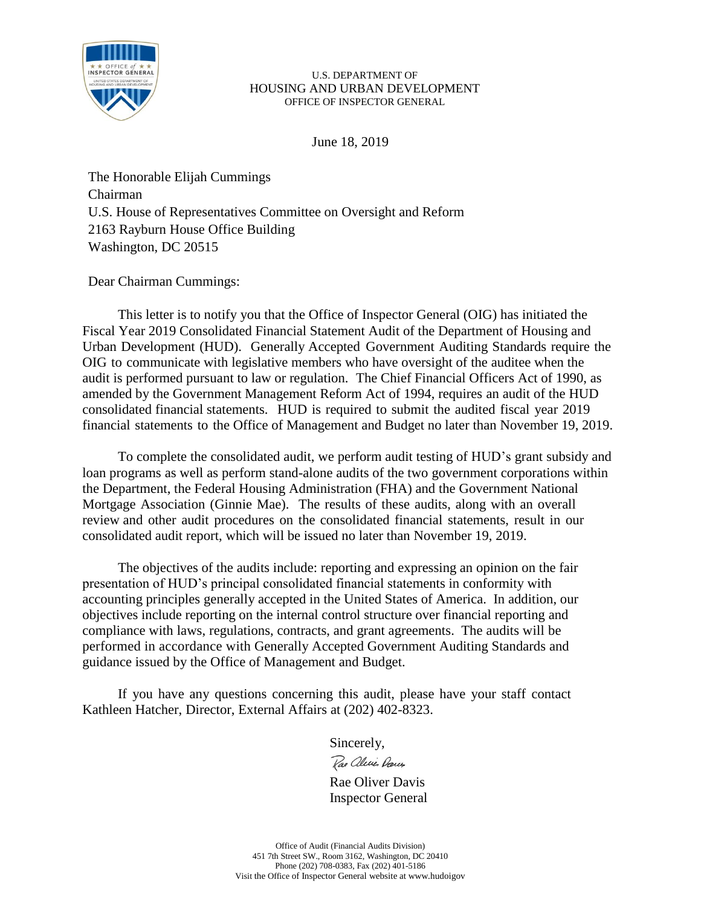

June 18, 2019

The Honorable Elijah Cummings Chairman U.S. House of Representatives Committee on Oversight and Reform 2163 Rayburn House Office Building Washington, DC 20515

# Dear Chairman Cummings:

This letter is to notify you that the Office of Inspector General (OIG) has initiated the Fiscal Year 2019 Consolidated Financial Statement Audit of the Department of Housing and Urban Development (HUD). Generally Accepted Government Auditing Standards require the OIG to communicate with legislative members who have oversight of the auditee when the audit is performed pursuant to law or regulation. The Chief Financial Officers Act of 1990, as amended by the Government Management Reform Act of 1994, requires an audit of the HUD consolidated financial statements. HUD is required to submit the audited fiscal year 2019 financial statements to the Office of Management and Budget no later than November 19, 2019.

To complete the consolidated audit, we perform audit testing of HUD's grant subsidy and loan programs as well as perform stand-alone audits of the two government corporations within the Department, the Federal Housing Administration (FHA) and the Government National Mortgage Association (Ginnie Mae). The results of these audits, along with an overall review and other audit procedures on the consolidated financial statements, result in our consolidated audit report, which will be issued no later than November 19, 2019.

The objectives of the audits include: reporting and expressing an opinion on the fair presentation of HUD's principal consolidated financial statements in conformity with accounting principles generally accepted in the United States of America. In addition, our objectives include reporting on the internal control structure over financial reporting and compliance with laws, regulations, contracts, and grant agreements. The audits will be performed in accordance with Generally Accepted Government Auditing Standards and guidance issued by the Office of Management and Budget.

If you have any questions concerning this audit, please have your staff contact Kathleen Hatcher, Director, External Affairs at (202) 402-8323.

Sincerely,

Rae aleries Dans